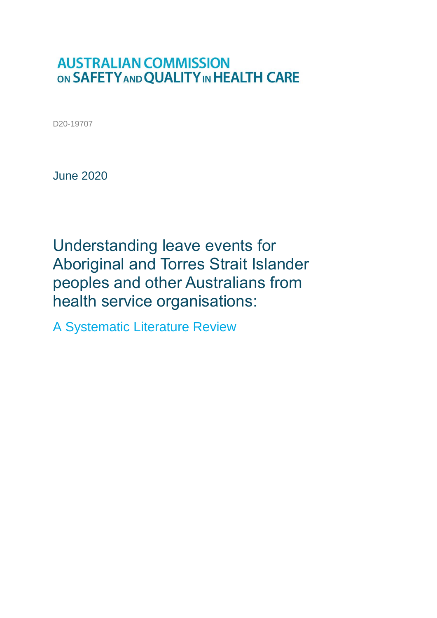### **AUSTRALIAN COMMISSION** ON SAFETY AND QUALITY IN HEALTH CARE

D20-19707

June 2020

Understanding leave events for Aboriginal and Torres Strait Islander peoples and other Australians from health service organisations:

A Systematic Literature Review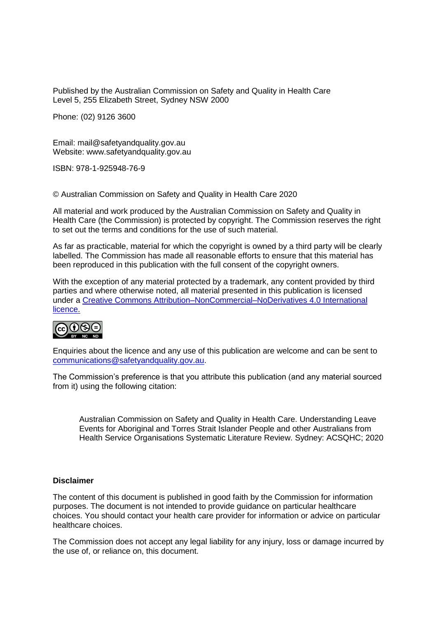Published by the Australian Commission on Safety and Quality in Health Care Level 5, 255 Elizabeth Street, Sydney NSW 2000

Phone: (02) 9126 3600

Email: mail@safetyandquality.gov.au Website: www.safetyandquality.gov.au

ISBN: 978-1-925948-76-9

© Australian Commission on Safety and Quality in Health Care 2020

All material and work produced by the Australian Commission on Safety and Quality in Health Care (the Commission) is protected by copyright. The Commission reserves the right to set out the terms and conditions for the use of such material.

As far as practicable, material for which the copyright is owned by a third party will be clearly labelled. The Commission has made all reasonable efforts to ensure that this material has been reproduced in this publication with the full consent of the copyright owners.

With the exception of any material protected by a trademark, any content provided by third parties and where otherwise noted, all material presented in this publication is licensed under a [Creative Commons Attribution–NonCommercial–NoDerivatives 4.0 International](http://creativecommons.org/licenses/by-nc-nd/4.0/)  [licence.](http://creativecommons.org/licenses/by-nc-nd/4.0/)



Enquiries about the licence and any use of this publication are welcome and can be sent to [communications@safetyandquality.gov.au.](mailto:communications@safetyandquality.gov.au)

The Commission's preference is that you attribute this publication (and any material sourced from it) using the following citation:

Australian Commission on Safety and Quality in Health Care. Understanding Leave Events for Aboriginal and Torres Strait Islander People and other Australians from Health Service Organisations Systematic Literature Review. Sydney: ACSQHC; 2020

#### **Disclaimer**

The content of this document is published in good faith by the Commission for information purposes. The document is not intended to provide guidance on particular healthcare choices. You should contact your health care provider for information or advice on particular healthcare choices.

The Commission does not accept any legal liability for any injury, loss or damage incurred by the use of, or reliance on, this document.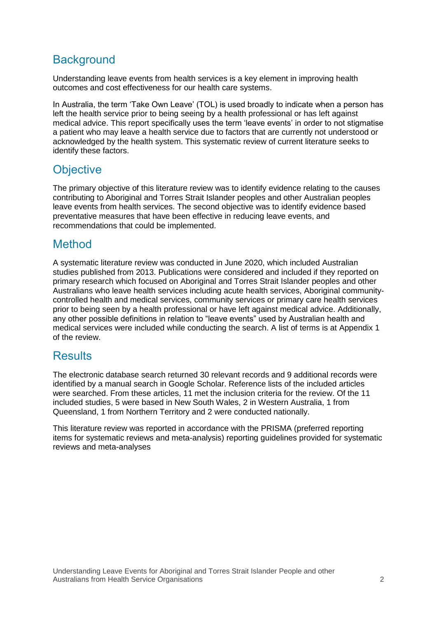### **Background**

Understanding leave events from health services is a key element in improving health outcomes and cost effectiveness for our health care systems.

In Australia, the term 'Take Own Leave' (TOL) is used broadly to indicate when a person has left the health service prior to being seeing by a health professional or has left against medical advice. This report specifically uses the term 'leave events' in order to not stigmatise a patient who may leave a health service due to factors that are currently not understood or acknowledged by the health system. This systematic review of current literature seeks to identify these factors.

### **Objective**

The primary objective of this literature review was to identify evidence relating to the causes contributing to Aboriginal and Torres Strait Islander peoples and other Australian peoples leave events from health services. The second objective was to identify evidence based preventative measures that have been effective in reducing leave events, and recommendations that could be implemented.

### **Method**

A systematic literature review was conducted in June 2020, which included Australian studies published from 2013. Publications were considered and included if they reported on primary research which focused on Aboriginal and Torres Strait Islander peoples and other Australians who leave health services including acute health services, Aboriginal communitycontrolled health and medical services, community services or primary care health services prior to being seen by a health professional or have left against medical advice. Additionally, any other possible definitions in relation to "leave events" used by Australian health and medical services were included while conducting the search. A list of terms is at Appendix 1 of the review.

### **Results**

The electronic database search returned 30 relevant records and 9 additional records were identified by a manual search in Google Scholar. Reference lists of the included articles were searched. From these articles, 11 met the inclusion criteria for the review. Of the 11 included studies, 5 were based in New South Wales, 2 in Western Australia, 1 from Queensland, 1 from Northern Territory and 2 were conducted nationally.

This literature review was reported in accordance with the PRISMA (preferred reporting items for systematic reviews and meta-analysis) reporting guidelines provided for systematic reviews and meta-analyses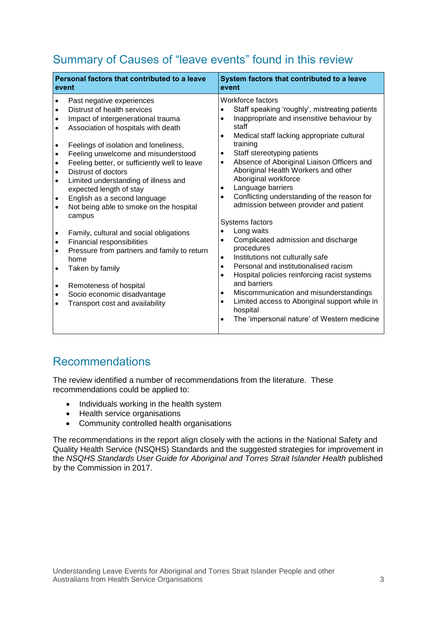### Summary of Causes of "leave events" found in this review

| Personal factors that contributed to a leave                                                                                                                                                                                                                                                                                                                                                                                                                                                                                                                                                                                                                                                                                                                                                                                                                                                                                      | System factors that contributed to a leave                                                                                                                                                                                                                                                                                                                                                                                                                                                                                                                                                                                                                                                                                                                                                                                                                                                                 |  |  |
|-----------------------------------------------------------------------------------------------------------------------------------------------------------------------------------------------------------------------------------------------------------------------------------------------------------------------------------------------------------------------------------------------------------------------------------------------------------------------------------------------------------------------------------------------------------------------------------------------------------------------------------------------------------------------------------------------------------------------------------------------------------------------------------------------------------------------------------------------------------------------------------------------------------------------------------|------------------------------------------------------------------------------------------------------------------------------------------------------------------------------------------------------------------------------------------------------------------------------------------------------------------------------------------------------------------------------------------------------------------------------------------------------------------------------------------------------------------------------------------------------------------------------------------------------------------------------------------------------------------------------------------------------------------------------------------------------------------------------------------------------------------------------------------------------------------------------------------------------------|--|--|
| event                                                                                                                                                                                                                                                                                                                                                                                                                                                                                                                                                                                                                                                                                                                                                                                                                                                                                                                             | event                                                                                                                                                                                                                                                                                                                                                                                                                                                                                                                                                                                                                                                                                                                                                                                                                                                                                                      |  |  |
| Past negative experiences<br>$\bullet$<br>Distrust of health services<br>Impact of intergenerational trauma<br>$\bullet$<br>Association of hospitals with death<br>$\bullet$<br>Feelings of isolation and loneliness,<br>$\bullet$<br>Feeling unwelcome and misunderstood<br>$\bullet$<br>Feeling better, or sufficiently well to leave<br>$\bullet$<br>Distrust of doctors<br>$\bullet$<br>Limited understanding of illness and<br>$\bullet$<br>expected length of stay<br>English as a second language<br>$\bullet$<br>Not being able to smoke on the hospital<br>$\bullet$<br>campus<br>Family, cultural and social obligations<br>$\bullet$<br>Financial responsibilities<br>$\bullet$<br>Pressure from partners and family to return<br>$\bullet$<br>home<br>Taken by family<br>$\bullet$<br>Remoteness of hospital<br>$\bullet$<br>Socio economic disadvantage<br>$\bullet$<br>Transport cost and availability<br>$\bullet$ | Workforce factors<br>Staff speaking 'roughly', mistreating patients<br>Inappropriate and insensitive behaviour by<br>staff<br>Medical staff lacking appropriate cultural<br>training<br>Staff stereotyping patients<br>٠<br>Absence of Aboriginal Liaison Officers and<br>Aboriginal Health Workers and other<br>Aboriginal workforce<br>Language barriers<br>٠<br>Conflicting understanding of the reason for<br>admission between provider and patient<br>Systems factors<br>Long waits<br>Complicated admission and discharge<br>procedures<br>Institutions not culturally safe<br>$\bullet$<br>Personal and institutionalised racism<br>$\bullet$<br>Hospital policies reinforcing racist systems<br>and barriers<br>Miscommunication and misunderstandings<br>٠<br>Limited access to Aboriginal support while in<br>$\bullet$<br>hospital<br>The 'impersonal nature' of Western medicine<br>$\bullet$ |  |  |

### Recommendations

The review identified a number of recommendations from the literature. These recommendations could be applied to:

- Individuals working in the health system
- Health service organisations
- Community controlled health organisations

The recommendations in the report align closely with the actions in the National Safety and Quality Health Service (NSQHS) Standards and the suggested strategies for improvement in the *NSQHS Standards User Guide for Aboriginal and Torres Strait Islander Health* published by the Commission in 2017.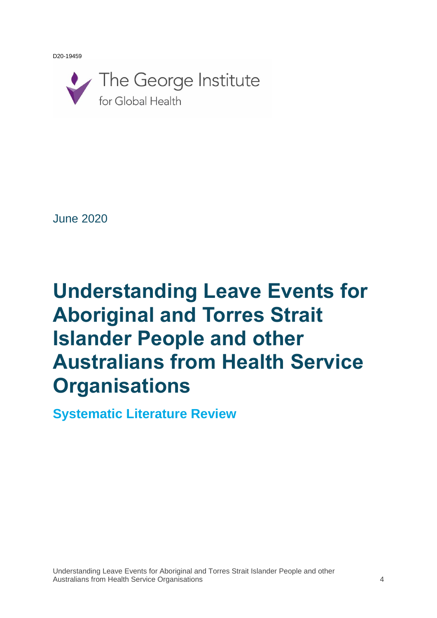D20-19459



June 2020

# **Understanding Leave Events for Aboriginal and Torres Strait Islander People and other Australians from Health Service Organisations**

**Systematic Literature Review**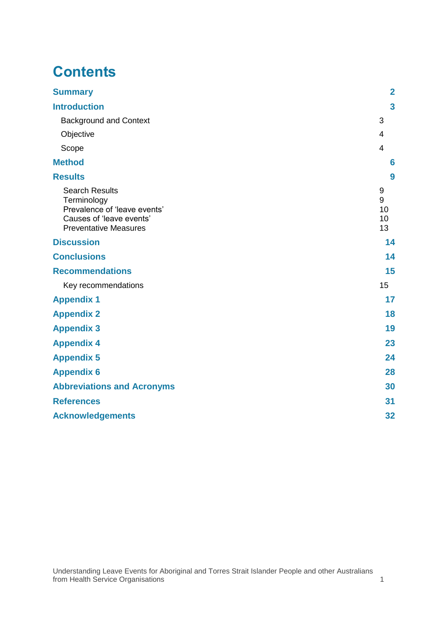## **Contents**

| <b>Summary</b>                                                                                                                   | $\overline{\mathbf{2}}$  |
|----------------------------------------------------------------------------------------------------------------------------------|--------------------------|
| <b>Introduction</b>                                                                                                              | $\mathbf{3}$             |
| <b>Background and Context</b>                                                                                                    | 3                        |
| Objective                                                                                                                        | 4                        |
| Scope                                                                                                                            | $\overline{4}$           |
| <b>Method</b>                                                                                                                    | $6\phantom{1}6$          |
| <b>Results</b>                                                                                                                   | 9                        |
| <b>Search Results</b><br>Terminology<br>Prevalence of 'leave events'<br>Causes of 'leave events'<br><b>Preventative Measures</b> | 9<br>9<br>10<br>10<br>13 |
| <b>Discussion</b>                                                                                                                | 14                       |
| <b>Conclusions</b>                                                                                                               | 14                       |
| <b>Recommendations</b>                                                                                                           | 15                       |
| Key recommendations                                                                                                              | 15                       |
| <b>Appendix 1</b>                                                                                                                | 17                       |
| <b>Appendix 2</b>                                                                                                                | 18                       |
| <b>Appendix 3</b>                                                                                                                | 19                       |
| <b>Appendix 4</b>                                                                                                                | 23                       |
| <b>Appendix 5</b>                                                                                                                | 24                       |
| <b>Appendix 6</b>                                                                                                                | 28                       |
| <b>Abbreviations and Acronyms</b>                                                                                                | 30                       |
| <b>References</b>                                                                                                                | 31                       |
| <b>Acknowledgements</b>                                                                                                          | 32                       |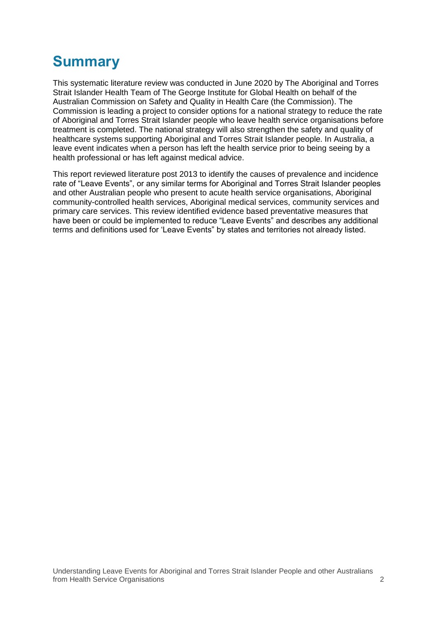## <span id="page-6-0"></span>**Summary**

This systematic literature review was conducted in June 2020 by The Aboriginal and Torres Strait Islander Health Team of The George Institute for Global Health on behalf of the Australian Commission on Safety and Quality in Health Care (the Commission). The Commission is leading a project to consider options for a national strategy to reduce the rate of Aboriginal and Torres Strait Islander people who leave health service organisations before treatment is completed. The national strategy will also strengthen the safety and quality of healthcare systems supporting Aboriginal and Torres Strait Islander people. In Australia, a leave event indicates when a person has left the health service prior to being seeing by a health professional or has left against medical advice.

This report reviewed literature post 2013 to identify the causes of prevalence and incidence rate of "Leave Events", or any similar terms for Aboriginal and Torres Strait Islander peoples and other Australian people who present to acute health service organisations, Aboriginal community-controlled health services, Aboriginal medical services, community services and primary care services. This review identified evidence based preventative measures that have been or could be implemented to reduce "Leave Events" and describes any additional terms and definitions used for 'Leave Events" by states and territories not already listed.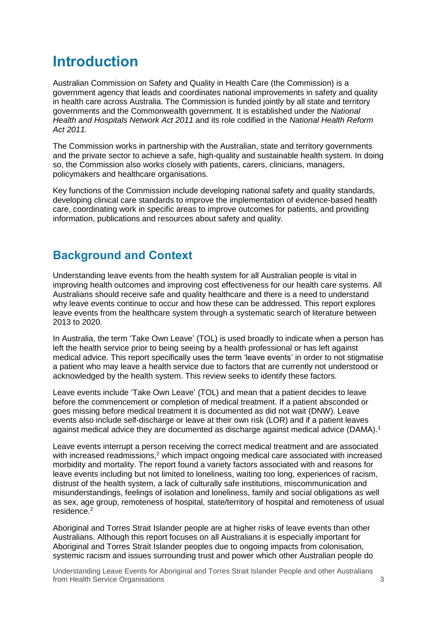### <span id="page-7-0"></span>**Introduction**

Australian Commission on Safety and Quality in Health Care (the Commission) is a government agency that leads and coordinates national improvements in safety and quality in health care across Australia. The Commission is funded jointly by all state and territory governments and the Commonwealth government. It is established under the *National Health and Hospitals Network Act 2011* and its role codified in the *National Health Reform Act 2011.*

The Commission works in partnership with the Australian, state and territory governments and the private sector to achieve a safe, high-quality and sustainable health system. In doing so, the Commission also works closely with patients, carers, clinicians, managers, policymakers and healthcare organisations.

Key functions of the Commission include developing national safety and quality standards, developing clinical care standards to improve the implementation of evidence-based health care, coordinating work in specific areas to improve outcomes for patients, and providing information, publications and resources about safety and quality.

### <span id="page-7-1"></span>**Background and Context**

Understanding leave events from the health system for all Australian people is vital in improving health outcomes and improving cost effectiveness for our health care systems. All Australians should receive safe and quality healthcare and there is a need to understand why leave events continue to occur and how these can be addressed. This report explores leave events from the healthcare system through a systematic search of literature between 2013 to 2020.

In Australia, the term 'Take Own Leave' (TOL) is used broadly to indicate when a person has left the health service prior to being seeing by a health professional or has left against medical advice. This report specifically uses the term 'leave events' in order to not stigmatise a patient who may leave a health service due to factors that are currently not understood or acknowledged by the health system. This review seeks to identify these factors.

Leave events include 'Take Own Leave' (TOL) and mean that a patient decides to leave before the commencement or completion of medical treatment. If a patient absconded or goes missing before medical treatment it is documented as did not wait (DNW). Leave events also include self-discharge or leave at their own risk (LOR) and if a patient leaves against medical advice they are documented as discharge against medical advice (DAMA)[.](#page-35-1)<sup>1</sup>

Leave events interrupt a person receiving the correct medical treatment and are associated with increased readmissions,<sup>[2](#page-35-2)</sup> which impact ongoing medical care associated with increased morbidity and mortality. The report found a variety factors associated with and reasons for leave events including but not limited to loneliness, waiting too long, experiences of racism, distrust of the health system, a lack of culturally safe institutions, miscommunication and misunderstandings, feelings of isolation and loneliness, family and social obligations as well as sex, age group, remoteness of hospital, state/territory of hospital and remoteness of usual residence $^2$ 

Aboriginal and Torres Strait Islander people are at higher risks of leave events than other Australians. Although this report focuses on all Australians it is especially important for Aboriginal and Torres Strait Islander peoples due to ongoing impacts from colonisation, systemic racism and issues surrounding trust and power which other Australian people do

Understanding Leave Events for Aboriginal and Torres Strait Islander People and other Australians **from Health Service Organisations** 3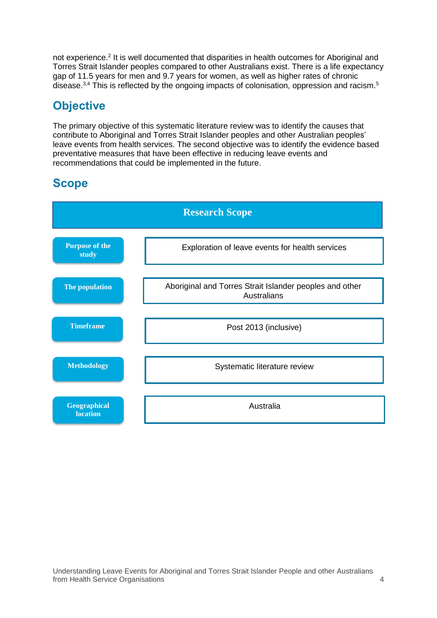not experience.<sup>[2](#page-35-2)</sup> It is well documented that disparities in health outcomes for Aboriginal and Torres Strait Islander peoples compared to other Australians exist. There is a life expectancy gap of 11.5 years for men and 9.7 years for women, as well as higher rates of chronic disease.<sup>[3,](#page-35-3)[4](#page-35-4)</sup> This is reflected by the ongoing impacts of colonisation, oppression and racism.<sup>[5](#page-35-5)</sup>

### <span id="page-8-0"></span>**Objective**

The primary objective of this systematic literature review was to identify the causes that contribute to Aboriginal and Torres Strait Islander peoples and other Australian peoples' leave events from health services. The second objective was to identify the evidence based preventative measures that have been effective in reducing leave events and recommendations that could be implemented in the future.

### <span id="page-8-1"></span>**Scope**

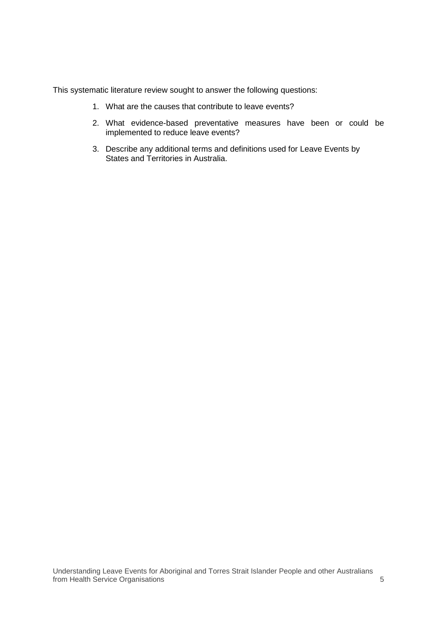This systematic literature review sought to answer the following questions:

- 1. What are the causes that contribute to leave events?
- 2. What evidence-based preventative measures have been or could be implemented to reduce leave events?
- 3. Describe any additional terms and definitions used for Leave Events by States and Territories in Australia.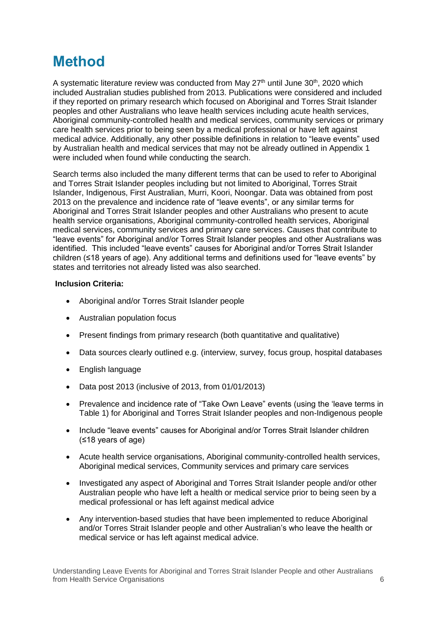## <span id="page-10-0"></span>**Method**

A systematic literature review was conducted from May  $27<sup>th</sup>$  until June  $30<sup>th</sup>$ , 2020 which included Australian studies published from 2013. Publications were considered and included if they reported on primary research which focused on Aboriginal and Torres Strait Islander peoples and other Australians who leave health services including acute health services, Aboriginal community-controlled health and medical services, community services or primary care health services prior to being seen by a medical professional or have left against medical advice. Additionally, any other possible definitions in relation to "leave events" used by Australian health and medical services that may not be already outlined in Appendix 1 were included when found while conducting the search.

Search terms also included the many different terms that can be used to refer to Aboriginal and Torres Strait Islander peoples including but not limited to Aboriginal, Torres Strait Islander, Indigenous, First Australian, Murri, Koori, Noongar. Data was obtained from post 2013 on the prevalence and incidence rate of "leave events", or any similar terms for Aboriginal and Torres Strait Islander peoples and other Australians who present to acute health service organisations, Aboriginal community-controlled health services, Aboriginal medical services, community services and primary care services. Causes that contribute to "leave events" for Aboriginal and/or Torres Strait Islander peoples and other Australians was identified. This included "leave events" causes for Aboriginal and/or Torres Strait Islander children (≤18 years of age). Any additional terms and definitions used for "leave events" by states and territories not already listed was also searched.

#### **Inclusion Criteria:**

- Aboriginal and/or Torres Strait Islander people
- Australian population focus
- Present findings from primary research (both quantitative and qualitative)
- Data sources clearly outlined e.g. (interview, survey, focus group, hospital databases
- English language
- Data post 2013 (inclusive of 2013, from 01/01/2013)
- Prevalence and incidence rate of "Take Own Leave" events (using the 'leave terms in Table 1) for Aboriginal and Torres Strait Islander peoples and non-Indigenous people
- Include "leave events" causes for Aboriginal and/or Torres Strait Islander children (≤18 years of age)
- Acute health service organisations, Aboriginal community-controlled health services, Aboriginal medical services, Community services and primary care services
- Investigated any aspect of Aboriginal and Torres Strait Islander people and/or other Australian people who have left a health or medical service prior to being seen by a medical professional or has left against medical advice
- Any intervention-based studies that have been implemented to reduce Aboriginal and/or Torres Strait Islander people and other Australian's who leave the health or medical service or has left against medical advice.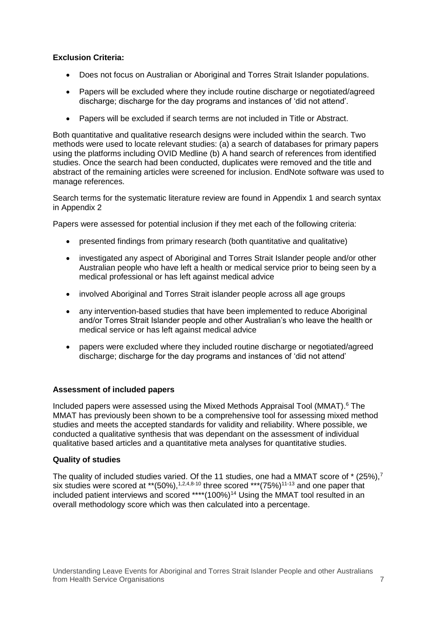#### **Exclusion Criteria:**

- Does not focus on Australian or Aboriginal and Torres Strait Islander populations.
- Papers will be excluded where they include routine discharge or negotiated/agreed discharge; discharge for the day programs and instances of 'did not attend'.
- Papers will be excluded if search terms are not included in Title or Abstract.

Both quantitative and qualitative research designs were included within the search. Two methods were used to locate relevant studies: (a) a search of databases for primary papers using the platforms including OVID Medline (b) A hand search of references from identified studies. Once the search had been conducted, duplicates were removed and the title and abstract of the remaining articles were screened for inclusion. EndNote software was used to manage references.

Search terms for the systematic literature review are found in Appendix 1 and search syntax in Appendix 2

Papers were assessed for potential inclusion if they met each of the following criteria:

- presented findings from primary research (both quantitative and qualitative)
- investigated any aspect of Aboriginal and Torres Strait Islander people and/or other Australian people who have left a health or medical service prior to being seen by a medical professional or has left against medical advice
- involved Aboriginal and Torres Strait islander people across all age groups
- any intervention-based studies that have been implemented to reduce Aboriginal and/or Torres Strait Islander people and other Australian's who leave the health or medical service or has left against medical advice
- papers were excluded where they included routine discharge or negotiated/agreed discharge; discharge for the day programs and instances of 'did not attend'

#### **Assessment of included papers**

Included papers were assessed using the Mixed Methods Appraisal Tool (MMAT). [6](#page-35-6) The MMAT has previously been shown to be a comprehensive tool for assessing mixed method studies and meets the accepted standards for validity and reliability. Where possible, we conducted a qualitative synthesis that was dependant on the assessment of individual qualitative based articles and a quantitative meta analyses for quantitative studies.

#### **Quality of studies**

The quality of included studies varied. Of the 11 studies[,](#page-35-7) one had a MMAT score of  $*(25\%)$ ,<sup>7</sup> six studies were scored at \*\*(50%),<sup>[1,](#page-35-1)[2,](#page-35-2)[4,](#page-35-4)[8-10](#page-35-8)</sup> three scored \*\*\*(75%)<sup>[11-13](#page-35-9)</sup> and one paper that included patient interviews and scored \*\*\*\*(100%)<sup>[14](#page-35-10)</sup> Using the MMAT tool resulted in an overall methodology score which was then calculated into a percentage.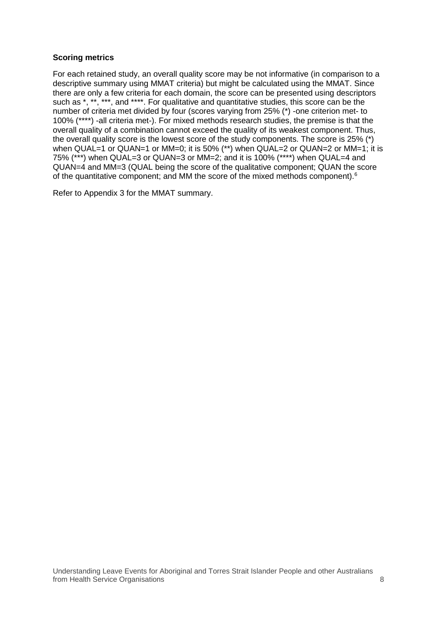#### **Scoring metrics**

For each retained study, an overall quality score may be not informative (in comparison to a descriptive summary using MMAT criteria) but might be calculated using the MMAT. Since there are only a few criteria for each domain, the score can be presented using descriptors such as \*, \*\*, \*\*\*, and \*\*\*\*. For qualitative and quantitative studies, this score can be the number of criteria met divided by four (scores varying from 25% (\*) -one criterion met- to 100% (\*\*\*\*) -all criteria met-). For mixed methods research studies, the premise is that the overall quality of a combination cannot exceed the quality of its weakest component. Thus, the overall quality score is the lowest score of the study components. The score is 25% (\*) when QUAL=1 or QUAN=1 or MM=0; it is 50% (\*\*) when QUAL=2 or QUAN=2 or MM=1; it is 75% (\*\*\*) when QUAL=3 or QUAN=3 or MM=2; and it is 100% (\*\*\*\*) when QUAL=4 and QUAN=4 and MM=3 (QUAL being the score of the qualitative component; QUAN the score of the quantitative component; and MM the score of the mixed methods component).<sup>6</sup>

Refer to Appendix 3 for the MMAT summary.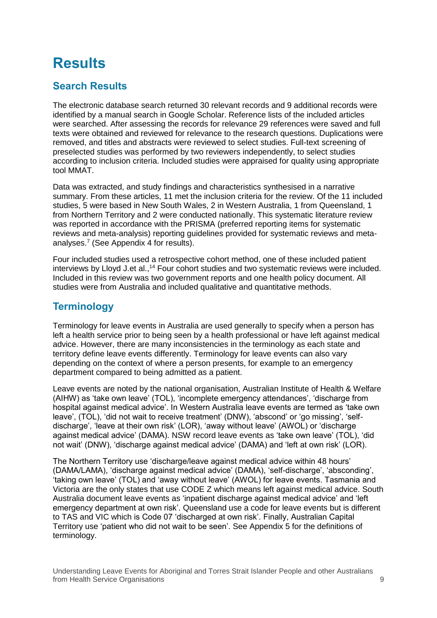## <span id="page-13-0"></span>**Results**

### <span id="page-13-1"></span>**Search Results**

The electronic database search returned 30 relevant records and 9 additional records were identified by a manual search in Google Scholar. Reference lists of the included articles were searched. After assessing the records for relevance 29 references were saved and full texts were obtained and reviewed for relevance to the research questions. Duplications were removed, and titles and abstracts were reviewed to select studies. Full-text screening of preselected studies was performed by two reviewers independently, to select studies according to inclusion criteria. Included studies were appraised for quality using appropriate tool MMAT.

Data was extracted, and study findings and characteristics synthesised in a narrative summary. From these articles, 11 met the inclusion criteria for the review. Of the 11 included studies, 5 were based in New South Wales, 2 in Western Australia, 1 from Queensland, 1 from Northern Territory and 2 were conducted nationally. This systematic literature review was reported in accordance with the PRISMA (preferred reporting items for systematic reviews and meta-analysis) reporting guidelines provided for systematic reviews and metaanalyses.<sup>7</sup> (See Appendix 4 for results).

Four included studies used a retrospective cohort method, one of these included patient interviews by Lloyd J.et al.,<sup>[14](#page-35-10)</sup> Four cohort studies and two systematic reviews were included. Included in this review was two government reports and one health policy document. All studies were from Australia and included qualitative and quantitative methods.

#### <span id="page-13-2"></span>**Terminology**

Terminology for leave events in Australia are used generally to specify when a person has left a health service prior to being seen by a health professional or have left against medical advice. However, there are many inconsistencies in the terminology as each state and territory define leave events differently. Terminology for leave events can also vary depending on the context of where a person presents, for example to an emergency department compared to being admitted as a patient.

Leave events are noted by the national organisation, Australian Institute of Health & Welfare (AIHW) as 'take own leave' (TOL), 'incomplete emergency attendances', 'discharge from hospital against medical advice'. In Western Australia leave events are termed as 'take own leave', (TOL), 'did not wait to receive treatment' (DNW), 'abscond' or 'go missing', 'selfdischarge', 'leave at their own risk' (LOR), 'away without leave' (AWOL) or 'discharge against medical advice' (DAMA). NSW record leave events as 'take own leave' (TOL), 'did not wait' (DNW), 'discharge against medical advice' (DAMA) and 'left at own risk' (LOR).

The Northern Territory use 'discharge/leave against medical advice within 48 hours' (DAMA/LAMA), 'discharge against medical advice' (DAMA), 'self-discharge', 'absconding', 'taking own leave' (TOL) and 'away without leave' (AWOL) for leave events. Tasmania and Victoria are the only states that use CODE Z which means left against medical advice. South Australia document leave events as 'inpatient discharge against medical advice' and 'left emergency department at own risk'. Queensland use a code for leave events but is different to TAS and VIC which is Code 07 'discharged at own risk'. Finally, Australian Capital Territory use 'patient who did not wait to be seen'. See Appendix 5 for the definitions of terminology.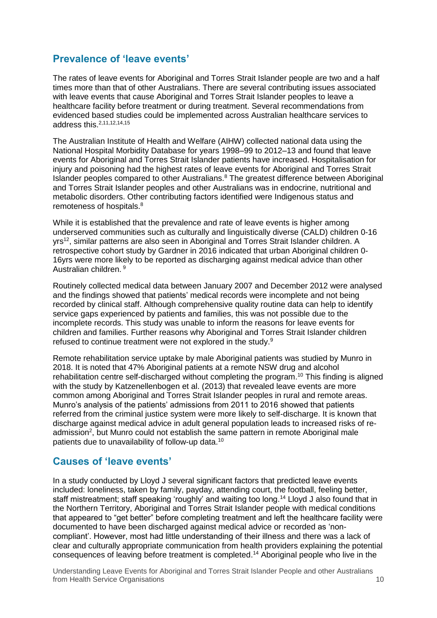#### <span id="page-14-0"></span>**Prevalence of 'leave events'**

The rates of leave events for Aboriginal and Torres Strait Islander people are two and a half times more than that of other Australians. There are several contributing issues associated with leave events that cause Aboriginal and Torres Strait Islander peoples to leave a healthcare facility before treatment or during treatment. Several recommendations from evidenced based studies could be implemented across Australian healthcare services to address this. [2,](#page-35-2)[11,](#page-35-9)[12,](#page-35-11)[14,](#page-35-10)[15](#page-35-12)

The Australian Institute of Health and Welfare (AIHW) collected national data using the National Hospital Morbidity Database for years 1998–99 to 2012–13 and found that leave events for Aboriginal and Torres Strait Islander patients have increased. Hospitalisation for injury and poisoning had the highest rates of leave events for Aboriginal and Torres Strait Islander peoples compared to other Australians[.](#page-35-8)<sup>8</sup> The greatest difference between Aboriginal and Torres Strait Islander peoples and other Australians was in endocrine, nutritional and metabolic disorders. Other contributing factors identified were Indigenous status and remoteness of hospitals. [8](#page-35-8)

While it is established that the prevalence and rate of leave events is higher among underserved communities such as culturally and linguistically diverse (CALD) children 0-16 yrs<sup>[12](#page-35-11)</sup>, similar patterns are also seen in Aboriginal and Torres Strait Islander children. A retrospective cohort study by Gardner in 2016 indicated that urban Aboriginal children 0- 16yrs were more likely to be reported as discharging against medical advice than other Australian children. [9](#page-35-13)

Routinely collected medical data between January 2007 and December 2012 were analysed and the findings showed that patients' medical records were incomplete and not being recorded by clinical staff. Although comprehensive quality routine data can help to identify service gaps experienced by patients and families, this was not possible due to the incomplete records. This study was unable to inform the reasons for leave events for children and families. Further reasons why Aboriginal and Torres Strait Islander children refused to continue treatment were not explored in the study.<sup>[9](#page-35-13)</sup>

Remote rehabilitation service uptake by male Aboriginal patients was studied by Munro in 2018. It is noted that 47% Aboriginal patients at a remote NSW drug and alcohol rehabilitation centre self-discharged without completing the program.<sup>[10](#page-35-14)</sup> This finding is aligned with the study by Katzenellenbogen et al. (2013) that revealed leave events are more common among Aboriginal and Torres Strait Islander peoples in rural and remote areas. Munro's analysis of the patients' admissions from 2011 to 2016 showed that patients referred from the criminal justice system were more likely to self-discharge. It is known that discharge against medical advice in adult general population leads to increased risks of readmissio[n](#page-35-2)<sup>2</sup>, but Munro could not establish the same pattern in remote Aboriginal male patients due to unavailability of follow-up data.<sup>[10](#page-35-14)</sup>

#### <span id="page-14-1"></span>**Causes of 'leave events'**

In a study conducted by Lloyd J several significant factors that predicted leave events included: loneliness, taken by family, payday, attending court, the football, feeling better, staff mistreatment; staff speaking 'roughly' and waiting too long.<sup>[14](#page-35-10)</sup> Lloyd J also found that in the Northern Territory, Aboriginal and Torres Strait Islander people with medical conditions that appeared to "get better" before completing treatment and left the healthcare facility were documented to have been discharged against medical advice or recorded as 'noncompliant'. However, most had little understanding of their illness and there was a lack of clear and culturally appropriate communication from health providers explaining the potential consequences of leaving before treatment is completed. [14](#page-35-10) Aboriginal people who live in the

Understanding Leave Events for Aboriginal and Torres Strait Islander People and other Australians from Health Service Organisations 10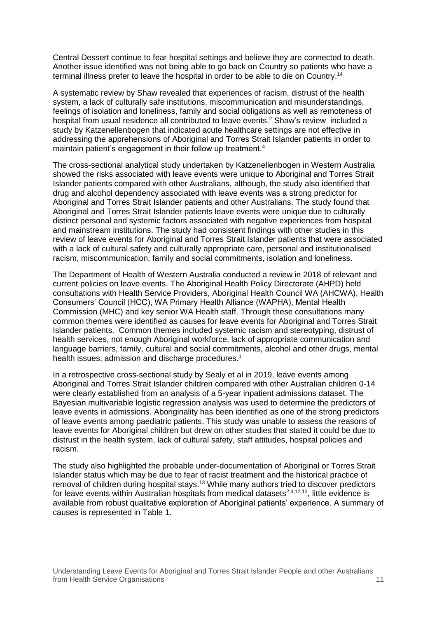Central Dessert continue to fear hospital settings and believe they are connected to death. Another issue identified was not being able to go back on Country so patients who have a terminal illness prefer to leave the hospital in order to be able to die on Country.<sup>[14](#page-35-10)</sup>

A systematic review by Shaw revealed that experiences of racism, distrust of the health system, a lack of culturally safe institutions, miscommunication and misunderstandings, feelings of isolation and loneliness, family and social obligations as well as remoteness of hospital from usual residence all contributed to leave events[.](#page-35-2) <sup>2</sup> Shaw's review included a study by [Katzenellenbogen](https://link.springer.com/article/10.1186/1472-6963-13-330/email/correspondent/c1/new) that indicated acute healthcare settings are not effective in addressing the apprehensions of Aboriginal and Torres Strait Islander patients in order to maintain patient's engagement in their follow up treatment. [4](#page-35-4)

The cross-sectional analytical study undertaken by Katzenellenbogen in Western Australia showed the risks associated with leave events were unique to Aboriginal and Torres Strait Islander patients compared with other Australians, although, the study also identified that drug and alcohol dependency associated with leave events was a strong predictor for Aboriginal and Torres Strait Islander patients and other Australians. The study found that Aboriginal and Torres Strait Islander patients leave events were unique due to culturally distinct personal and systemic factors associated with negative experiences from hospital and mainstream institutions. The study had consistent findings with other studies in this review of leave events for Aboriginal and Torres Strait Islander patients that were associated with a lack of cultural safety and culturally appropriate care, personal and institutionalised racism, miscommunication, family and social commitments, isolation and loneliness.

The Department of Health of Western Australia conducted a review in 2018 of relevant and current policies on leave events. The Aboriginal Health Policy Directorate (AHPD) held consultations with Health Service Providers, Aboriginal Health Council WA (AHCWA), Health Consumers' Council (HCC), WA Primary Health Alliance (WAPHA), Mental Health Commission (MHC) and key senior WA Health staff. Through these consultations many common themes were identified as causes for leave events for Aboriginal and Torres Strait Islander patients. Common themes included systemic racism and stereotyping, distrust of health services, not enough Aboriginal workforce, lack of appropriate communication and language barriers, family, cultural and social commitments, alcohol and other drugs, mental health issues, admission and discharge procedures. [1](#page-35-1)

In a retrospective cross-sectional study by Sealy et al in 2019, leave events among Aboriginal and Torres Strait Islander children compared with other Australian children 0-14 were clearly established from an analysis of a 5-year inpatient admissions dataset. The Bayesian multivariable logistic regression analysis was used to determine the predictors of leave events in admissions. Aboriginality has been identified as one of the strong predictors of leave events among paediatric patients. This study was unable to assess the reasons of leave events for Aboriginal children but drew on other studies that stated it could be due to distrust in the health system, lack of cultural safety, staff attitudes, hospital policies and racism.

The study also highlighted the probable under-documentation of Aboriginal or Torres Strait Islander status which may be due to fear of racist treatment and the historical practice of removal of children during hospital stays.<sup>[13](#page-35-15)</sup> While many authors tried to discover predictors for leave events within Australian hospitals from medical datasets<sup>[2,](#page-35-2)[4,](#page-35-4)[12,](#page-35-11)[13](#page-35-15)</sup>, little evidence is available from robust qualitative exploration of Aboriginal patients' experience. A summary of causes is represented in Table 1.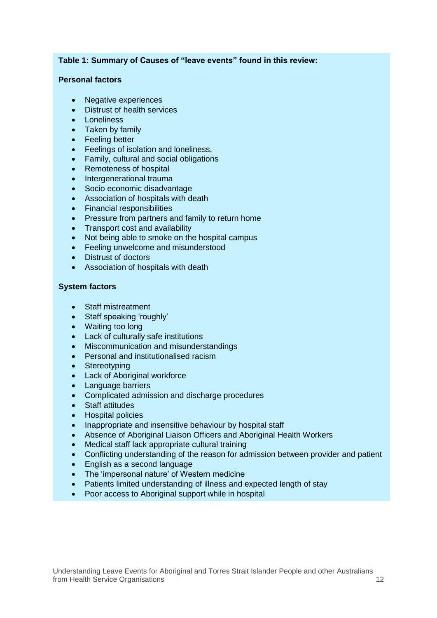#### **Table 1: Summary of Causes of "leave events" found in this review:**

#### **Personal factors**

- Negative experiences
- Distrust of health services
- Loneliness
- Taken by family
- Feeling better
- Feelings of isolation and loneliness.
- Family, cultural and social obligations
- Remoteness of hospital
- Intergenerational trauma
- Socio economic disadvantage
- Association of hospitals with death
- Financial responsibilities
- Pressure from partners and family to return home
- Transport cost and availability
- Not being able to smoke on the hospital campus
- Feeling unwelcome and misunderstood
- Distrust of doctors
- Association of hospitals with death

#### **System factors**

- Staff mistreatment
- Staff speaking 'roughly'
- Waiting too long
- Lack of culturally safe institutions
- Miscommunication and misunderstandings
- Personal and institutionalised racism
- Stereotyping
- Lack of Aboriginal workforce
- Language barriers
- Complicated admission and discharge procedures
- Staff attitudes
- Hospital policies
- Inappropriate and insensitive behaviour by hospital staff
- Absence of Aboriginal Liaison Officers and Aboriginal Health Workers
- Medical staff lack appropriate cultural training
- Conflicting understanding of the reason for admission between provider and patient
- English as a second language
- The 'impersonal nature' of Western medicine
- Patients limited understanding of illness and expected length of stay
- Poor access to Aboriginal support while in hospital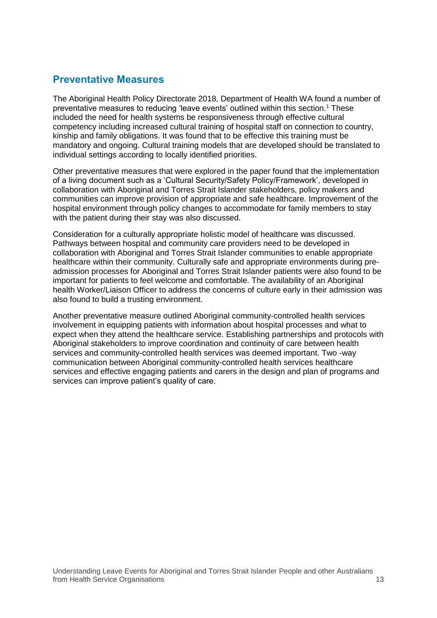#### <span id="page-17-0"></span>**Preventative Measures**

The Aboriginal Health Policy Directorate 2018, Department of Health WA found a number of preventative measures to reducing 'leave events' outlined within this section[.](#page-35-1) <sup>1</sup> These included the need for health systems be responsiveness through effective cultural competency including increased cultural training of hospital staff on connection to country, kinship and family obligations. It was found that to be effective this training must be mandatory and ongoing. Cultural training models that are developed should be translated to individual settings according to locally identified priorities.

Other preventative measures that were explored in the paper found that the implementation of a living document such as a 'Cultural Security/Safety Policy/Framework', developed in collaboration with Aboriginal and Torres Strait Islander stakeholders, policy makers and communities can improve provision of appropriate and safe healthcare. Improvement of the hospital environment through policy changes to accommodate for family members to stay with the patient during their stay was also discussed.

Consideration for a culturally appropriate holistic model of healthcare was discussed. Pathways between hospital and community care providers need to be developed in collaboration with Aboriginal and Torres Strait Islander communities to enable appropriate healthcare within their community. Culturally safe and appropriate environments during preadmission processes for Aboriginal and Torres Strait Islander patients were also found to be important for patients to feel welcome and comfortable. The availability of an Aboriginal health Worker/Liaison Officer to address the concerns of culture early in their admission was also found to build a trusting environment.

Another preventative measure outlined Aboriginal community-controlled health services involvement in equipping patients with information about hospital processes and what to expect when they attend the healthcare service. Establishing partnerships and protocols with Aboriginal stakeholders to improve coordination and continuity of care between health services and community-controlled health services was deemed important. Two -way communication between Aboriginal community-controlled health services healthcare services and effective engaging patients and carers in the design and plan of programs and services can improve patient's quality of care.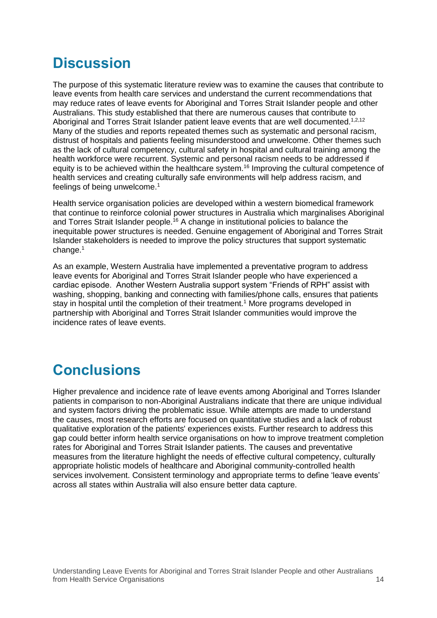## <span id="page-18-0"></span>**Discussion**

The purpose of this systematic literature review was to examine the causes that contribute to leave events from health care services and understand the current recommendations that may reduce rates of leave events for Aboriginal and Torres Strait Islander people and other Australians. This study established that there are numerous causes that contribute to Aboriginal and Torres Strait Islander patient leave events that are well documented.<sup>[1,](#page-35-1)[2,](#page-35-2)[12](#page-35-11)</sup> Many of the studies and reports repeated themes such as systematic and personal racism, distrust of hospitals and patients feeling misunderstood and unwelcome. Other themes such as the lack of cultural competency, cultural safety in hospital and cultural training among the health workforce were recurrent. Systemic and personal racism needs to be addressed if equity is to be achieved within the healthcare system.<sup>[16](#page-35-16)</sup> Improving the cultural competence of health services and creating culturally safe environments will help address racism, and feelings of being unwelcome.<sup>[1](#page-35-1)</sup>

Health service organisation policies are developed within a western biomedical framework that continue to reinforce colonial power structures in Australia which marginalises Aboriginal and Torres Strait Islander people.<sup>[16](#page-35-16)</sup> A change in institutional policies to balance the inequitable power structures is needed. Genuine engagement of Aboriginal and Torres Strait Islander stakeholders is needed to improve the policy structures that support systematic change.<sup>[1](#page-35-1)</sup>

As an example, Western Australia have implemented a preventative program to address leave events for Aboriginal and Torres Strait Islander people who have experienced a cardiac episode. Another Western Australia support system "Friends of RPH" assist with washing, shopping, banking and connecting with families/phone calls, ensures that patients stay in hospital until the completion of their treatment.[1](#page-35-1) More programs developed in partnership with Aboriginal and Torres Strait Islander communities would improve the incidence rates of leave events.

### <span id="page-18-1"></span>**Conclusions**

Higher prevalence and incidence rate of leave events among Aboriginal and Torres Islander patients in comparison to non-Aboriginal Australians indicate that there are unique individual and system factors driving the problematic issue. While attempts are made to understand the causes, most research efforts are focused on quantitative studies and a lack of robust qualitative exploration of the patients' experiences exists. Further research to address this gap could better inform health service organisations on how to improve treatment completion rates for Aboriginal and Torres Strait Islander patients. The causes and preventative measures from the literature highlight the needs of effective cultural competency, culturally appropriate holistic models of healthcare and Aboriginal community-controlled health services involvement. Consistent terminology and appropriate terms to define 'leave events' across all states within Australia will also ensure better data capture.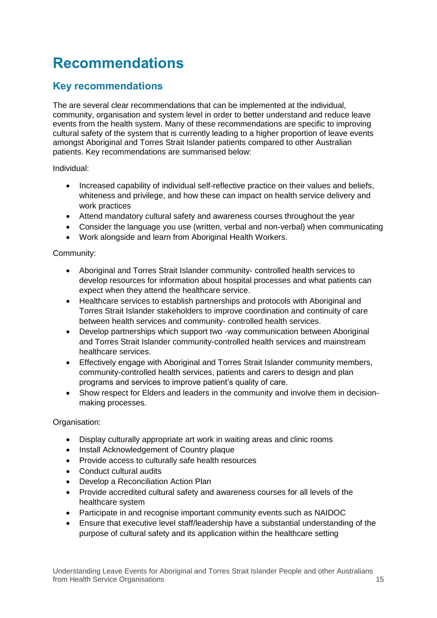## <span id="page-19-0"></span>**Recommendations**

### <span id="page-19-1"></span>**Key recommendations**

The are several clear recommendations that can be implemented at the individual, community, organisation and system level in order to better understand and reduce leave events from the health system. Many of these recommendations are specific to improving cultural safety of the system that is currently leading to a higher proportion of leave events amongst Aboriginal and Torres Strait Islander patients compared to other Australian patients. Key recommendations are summarised below:

Individual:

- Increased capability of individual self-reflective practice on their values and beliefs, whiteness and privilege, and how these can impact on health service delivery and work practices
- Attend mandatory cultural safety and awareness courses throughout the year
- Consider the language you use (written, verbal and non-verbal) when communicating
- Work alongside and learn from Aboriginal Health Workers.

#### Community:

- Aboriginal and Torres Strait Islander community- controlled health services to develop resources for information about hospital processes and what patients can expect when they attend the healthcare service.
- Healthcare services to establish partnerships and protocols with Aboriginal and Torres Strait Islander stakeholders to improve coordination and continuity of care between health services and community- controlled health services.
- Develop partnerships which support two -way communication between Aboriginal and Torres Strait Islander community-controlled health services and mainstream healthcare services.
- Effectively engage with Aboriginal and Torres Strait Islander community members, community-controlled health services, patients and carers to design and plan programs and services to improve patient's quality of care.
- Show respect for Elders and leaders in the community and involve them in decisionmaking processes.

Organisation:

- Display culturally appropriate art work in waiting areas and clinic rooms
- Install Acknowledgement of Country plaque
- Provide access to culturally safe health resources
- Conduct cultural audits
- Develop a Reconciliation Action Plan
- Provide accredited cultural safety and awareness courses for all levels of the healthcare system
- Participate in and recognise important community events such as NAIDOC
- Ensure that executive level staff/leadership have a substantial understanding of the purpose of cultural safety and its application within the healthcare setting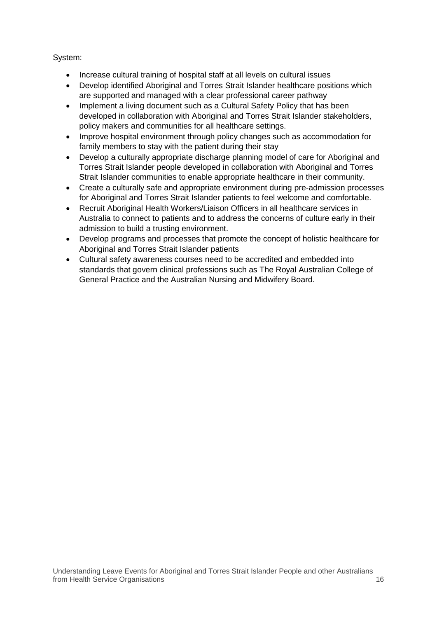System:

- Increase cultural training of hospital staff at all levels on cultural issues
- Develop identified Aboriginal and Torres Strait Islander healthcare positions which are supported and managed with a clear professional career pathway
- Implement a living document such as a Cultural Safety Policy that has been developed in collaboration with Aboriginal and Torres Strait Islander stakeholders, policy makers and communities for all healthcare settings.
- Improve hospital environment through policy changes such as accommodation for family members to stay with the patient during their stay
- Develop a culturally appropriate discharge planning model of care for Aboriginal and Torres Strait Islander people developed in collaboration with Aboriginal and Torres Strait Islander communities to enable appropriate healthcare in their community.
- Create a culturally safe and appropriate environment during pre-admission processes for Aboriginal and Torres Strait Islander patients to feel welcome and comfortable.
- Recruit Aboriginal Health Workers/Liaison Officers in all healthcare services in Australia to connect to patients and to address the concerns of culture early in their admission to build a trusting environment.
- Develop programs and processes that promote the concept of holistic healthcare for Aboriginal and Torres Strait Islander patients
- Cultural safety awareness courses need to be accredited and embedded into standards that govern clinical professions such as The Royal Australian College of General Practice and the Australian Nursing and Midwifery Board.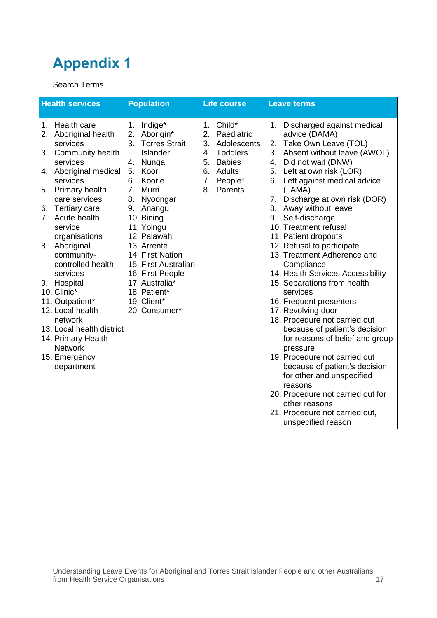#### <span id="page-21-0"></span>Search Terms

| <b>Health services</b>                                                                                                                                                                                                                                                                                                                                                                                                                                                                              | <b>Population</b>                                                                                                                                                                                                                                                                                                                                         | <b>Life course</b>                                                                                                                               | <b>Leave terms</b>                                                                                                                                                                                                                                                                                                                                                                                                                                                                                                                                                                                                                                                                                                                                                                                                                                                                                                       |
|-----------------------------------------------------------------------------------------------------------------------------------------------------------------------------------------------------------------------------------------------------------------------------------------------------------------------------------------------------------------------------------------------------------------------------------------------------------------------------------------------------|-----------------------------------------------------------------------------------------------------------------------------------------------------------------------------------------------------------------------------------------------------------------------------------------------------------------------------------------------------------|--------------------------------------------------------------------------------------------------------------------------------------------------|--------------------------------------------------------------------------------------------------------------------------------------------------------------------------------------------------------------------------------------------------------------------------------------------------------------------------------------------------------------------------------------------------------------------------------------------------------------------------------------------------------------------------------------------------------------------------------------------------------------------------------------------------------------------------------------------------------------------------------------------------------------------------------------------------------------------------------------------------------------------------------------------------------------------------|
| Health care<br>$1_{\cdot}$<br>2. Aboriginal health<br>services<br>3. Community health<br>services<br>4. Aboriginal medical<br>services<br>5. Primary health<br>care services<br>6. Tertiary care<br>7. Acute health<br>service<br>organisations<br>8. Aboriginal<br>community-<br>controlled health<br>services<br>9. Hospital<br>10. Clinic*<br>11. Outpatient*<br>12. Local health<br>network<br>13. Local health district<br>14. Primary Health<br><b>Network</b><br>15. Emergency<br>department | Indige*<br>1.<br>2. Aborigin*<br>3. Torres Strait<br><b>Islander</b><br>4. Nunga<br>Koori<br>5.<br>Koorie<br>6.<br>7.<br>Murri<br>8.<br>Nyoongar<br>9. Anangu<br>10. Bining<br>11. Yolngu<br>12. Palawah<br>13. Arrente<br>14. First Nation<br>15. First Australian<br>16. First People<br>17. Australia*<br>18. Patient*<br>19. Client*<br>20. Consumer* | Child*<br>1 <sub>1</sub><br>2.<br>Paediatric<br>3. Adolescents<br><b>Toddlers</b><br>4.<br>5. Babies<br>6. Adults<br>7.<br>People*<br>8. Parents | Discharged against medical<br>$1_{\cdot}$<br>advice (DAMA)<br>2. Take Own Leave (TOL)<br>3. Absent without leave (AWOL)<br>4. Did not wait (DNW)<br>5. Left at own risk (LOR)<br>6. Left against medical advice<br>(LAMA)<br>Discharge at own risk (DOR)<br>7.<br>Away without leave<br>8.<br>Self-discharge<br>9.<br>10. Treatment refusal<br>11. Patient dropouts<br>12. Refusal to participate<br>13. Treatment Adherence and<br>Compliance<br>14. Health Services Accessibility<br>15. Separations from health<br>services<br>16. Frequent presenters<br>17. Revolving door<br>18. Procedure not carried out<br>because of patient's decision<br>for reasons of belief and group<br>pressure<br>19. Procedure not carried out<br>because of patient's decision<br>for other and unspecified<br>reasons<br>20. Procedure not carried out for<br>other reasons<br>21. Procedure not carried out,<br>unspecified reason |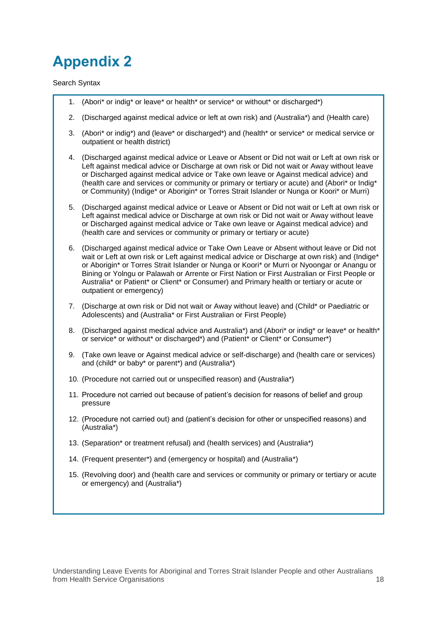<span id="page-22-0"></span>Search Syntax

- 1. (Abori\* or indig\* or leave\* or health\* or service\* or without\* or discharged\*)
- 2. (Discharged against medical advice or left at own risk) and (Australia\*) and (Health care)
- 3. (Abori\* or indig\*) and (leave\* or discharged\*) and (health\* or service\* or medical service or outpatient or health district)
- 4. (Discharged against medical advice or Leave or Absent or Did not wait or Left at own risk or Left against medical advice or Discharge at own risk or Did not wait or Away without leave or Discharged against medical advice or Take own leave or Against medical advice) and (health care and services or community or primary or tertiary or acute) and (Abori\* or Indig\* or Community) (Indige\* or Aborigin\* or Torres Strait Islander or Nunga or Koori\* or Murri)
- 5. (Discharged against medical advice or Leave or Absent or Did not wait or Left at own risk or Left against medical advice or Discharge at own risk or Did not wait or Away without leave or Discharged against medical advice or Take own leave or Against medical advice) and (health care and services or community or primary or tertiary or acute)
- 6. (Discharged against medical advice or Take Own Leave or Absent without leave or Did not wait or Left at own risk or Left against medical advice or Discharge at own risk) and (Indige\* or Aborigin\* or Torres Strait Islander or Nunga or Koori\* or Murri or Nyoongar or Anangu or Bining or Yolngu or Palawah or Arrente or First Nation or First Australian or First People or Australia\* or Patient\* or Client\* or Consumer) and Primary health or tertiary or acute or outpatient or emergency)
- 7. (Discharge at own risk or Did not wait or Away without leave) and (Child\* or Paediatric or Adolescents) and (Australia\* or First Australian or First People)
- 8. (Discharged against medical advice and Australia\*) and (Abori\* or indig\* or leave\* or health\* or service\* or without\* or discharged\*) and (Patient\* or Client\* or Consumer\*)
- 9. (Take own leave or Against medical advice or self-discharge) and (health care or services) and (child\* or baby\* or parent\*) and (Australia\*)
- 10. (Procedure not carried out or unspecified reason) and (Australia\*)
- 11. Procedure not carried out because of patient's decision for reasons of belief and group pressure
- 12. (Procedure not carried out) and (patient's decision for other or unspecified reasons) and (Australia\*)
- 13. (Separation\* or treatment refusal) and (health services) and (Australia\*)
- 14. (Frequent presenter\*) and (emergency or hospital) and (Australia\*)
- 15. (Revolving door) and (health care and services or community or primary or tertiary or acute or emergency) and (Australia\*)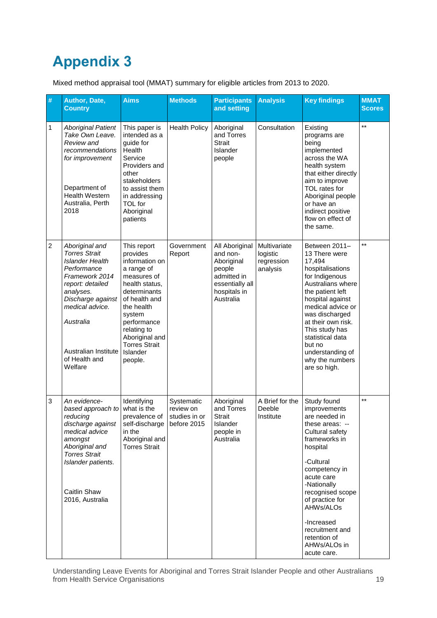<span id="page-23-0"></span>Mixed method appraisal tool (MMAT) summary for eligible articles from 2013 to 2020.

| #              | Author, Date,<br><b>Country</b>                                                                                                                                                                                                             | <b>Aims</b>                                                                                                                                                                                                                                      | <b>Methods</b>                                          | <b>Participants</b><br>and setting                                                                                | <b>Analysis</b>                                    | <b>Key findings</b>                                                                                                                                                                                                                                                                                             | <b>MMAT</b><br><b>Scores</b> |
|----------------|---------------------------------------------------------------------------------------------------------------------------------------------------------------------------------------------------------------------------------------------|--------------------------------------------------------------------------------------------------------------------------------------------------------------------------------------------------------------------------------------------------|---------------------------------------------------------|-------------------------------------------------------------------------------------------------------------------|----------------------------------------------------|-----------------------------------------------------------------------------------------------------------------------------------------------------------------------------------------------------------------------------------------------------------------------------------------------------------------|------------------------------|
| 1              | <b>Aboriginal Patient</b><br>Take Own Leave.<br>Review and<br>recommendations<br>for improvement<br>Department of<br><b>Health Western</b><br>Australia, Perth<br>2018                                                                      | This paper is<br>intended as a<br>guide for<br>Health<br>Service<br>Providers and<br>other<br>stakeholders<br>to assist them<br>in addressing<br>TOL for<br>Aboriginal<br>patients                                                               | <b>Health Policy</b>                                    | Aboriginal<br>and Torres<br><b>Strait</b><br>Islander<br>people                                                   | Consultation                                       | Existing<br>programs are<br>being<br>implemented<br>across the WA<br>health system<br>that either directly<br>aim to improve<br>TOL rates for<br>Aboriginal people<br>or have an<br>indirect positive<br>flow on effect of<br>the same.                                                                         | $***$                        |
| $\overline{c}$ | Aboriginal and<br><b>Torres Strait</b><br><b>Islander Health</b><br>Performance<br>Framework 2014<br>report: detailed<br>analyses.<br>Discharge against<br>medical advice.<br>Australia<br>Australian Institute<br>of Health and<br>Welfare | This report<br>provides<br>information on<br>a range of<br>measures of<br>health status,<br>determinants<br>of health and<br>the health<br>system<br>performance<br>relating to<br>Aboriginal and<br><b>Torres Strait</b><br>Islander<br>people. | Government<br>Report                                    | All Aboriginal<br>and non-<br>Aboriginal<br>people<br>admitted in<br>essentially all<br>hospitals in<br>Australia | Multivariate<br>logistic<br>regression<br>analysis | Between 2011-<br>13 There were<br>17,494<br>hospitalisations<br>for Indigenous<br>Australians where<br>the patient left<br>hospital against<br>medical advice or<br>was discharged<br>at their own risk.<br>This study has<br>statistical data<br>but no<br>understanding of<br>why the numbers<br>are so high. | $^{\star\star}$              |
| 3              | An evidence-<br>based approach to<br>reducing<br>discharge against<br>medical advice<br>amongst<br>Aboriginal and<br><b>Torres Strait</b><br>Islander patients.<br>Caitlin Shaw<br>2016, Australia                                          | Identifying<br>what is the<br>prevalence of<br>self-discharge<br>in the<br>Aboriginal and<br><b>Torres Strait</b>                                                                                                                                | Systematic<br>review on<br>studies in or<br>before 2015 | Aboriginal<br>and Torres<br><b>Strait</b><br>Islander<br>people in<br>Australia                                   | A Brief for the<br>Deeble<br>Institute             | Study found<br>improvements<br>are needed in<br>these areas: --<br>Cultural safety<br>frameworks in<br>hospital<br>-Cultural<br>competency in<br>acute care<br>-Nationally<br>recognised scope<br>of practice for<br>AHWs/ALOs<br>-Increased<br>recruitment and<br>retention of<br>AHWs/ALOs in<br>acute care.  | $\star\star$                 |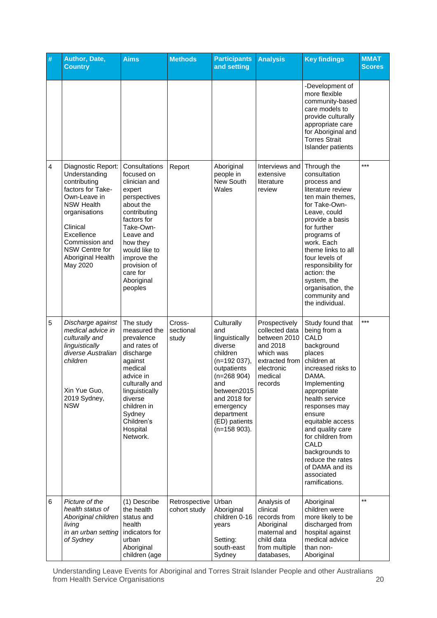| #              | Author, Date,<br><b>Country</b>                                                                                                                                                                                               | <b>Aims</b>                                                                                                                                                                                                                                   | <b>Methods</b>                | <b>Participants</b><br>and setting                                                                                                                                                                              | <b>Analysis</b>                                                                                                                | <b>Key findings</b>                                                                                                                                                                                                                                                                                                                                      | <b>MMAT</b><br><b>Scores</b> |
|----------------|-------------------------------------------------------------------------------------------------------------------------------------------------------------------------------------------------------------------------------|-----------------------------------------------------------------------------------------------------------------------------------------------------------------------------------------------------------------------------------------------|-------------------------------|-----------------------------------------------------------------------------------------------------------------------------------------------------------------------------------------------------------------|--------------------------------------------------------------------------------------------------------------------------------|----------------------------------------------------------------------------------------------------------------------------------------------------------------------------------------------------------------------------------------------------------------------------------------------------------------------------------------------------------|------------------------------|
|                |                                                                                                                                                                                                                               |                                                                                                                                                                                                                                               |                               |                                                                                                                                                                                                                 |                                                                                                                                | -Development of<br>more flexible<br>community-based<br>care models to<br>provide culturally<br>appropriate care<br>for Aboriginal and<br><b>Torres Strait</b><br>Islander patients                                                                                                                                                                       |                              |
| $\overline{4}$ | Diagnostic Report:<br>Understanding<br>contributing<br>factors for Take-<br>Own-Leave in<br><b>NSW Health</b><br>organisations<br>Clinical<br>Excellence<br>Commission and<br>NSW Centre for<br>Aboriginal Health<br>May 2020 | Consultations<br>focused on<br>clinician and<br>expert<br>perspectives<br>about the<br>contributing<br>factors for<br>Take-Own-<br>Leave and<br>how they<br>would like to<br>improve the<br>provision of<br>care for<br>Aboriginal<br>peoples | Report                        | Aboriginal<br>people in<br>New South<br>Wales                                                                                                                                                                   | Interviews and<br>extensive<br>literature<br>review                                                                            | Through the<br>consultation<br>process and<br>literature review<br>ten main themes.<br>for Take-Own-<br>Leave, could<br>provide a basis<br>for further<br>programs of<br>work. Each<br>theme links to all<br>four levels of<br>responsibility for<br>action: the<br>system, the<br>organisation, the<br>community and<br>the individual.                 | $***$                        |
| 5              | Discharge against<br>medical advice in<br>culturally and<br>linguistically<br>diverse Australian<br>children<br>Xin Yue Guo,<br>2019 Sydney,<br><b>NSW</b>                                                                    | The study<br>measured the<br>prevalence<br>and rates of<br>discharge<br>against<br>medical<br>advice in<br>culturally and<br>linguistically<br>diverse<br>children in<br>Sydney<br>Children's<br>Hospital<br>Network.                         | Cross-<br>sectional<br>study  | Culturally<br>and<br>linguistically<br>diverse<br>children<br>$(n=192 037),$<br>outpatients<br>$(n=268904)$<br>and<br>between2015<br>and 2018 for<br>emergency<br>department<br>(ED) patients<br>$(n=158903)$ . | Prospectively<br>collected data<br>between 2010<br>and 2018<br>which was<br>extracted from<br>electronic<br>medical<br>records | Study found that<br>being from a<br>CALD<br>background<br>places<br>children at<br>increased risks to<br>DAMA.<br>Implementing<br>appropriate<br>health service<br>responses may<br>ensure<br>equitable access<br>and quality care<br>for children from<br>CALD<br>backgrounds to<br>reduce the rates<br>of DAMA and its<br>associated<br>ramifications. | $***$                        |
| 6              | Picture of the<br>health status of<br>Aboriginal children<br>living<br>in an urban setting<br>of Sydney                                                                                                                       | (1) Describe<br>the health<br>status and<br>health<br>indicators for<br>urban<br>Aboriginal<br>children (age                                                                                                                                  | Retrospective<br>cohort study | Urban<br>Aboriginal<br>children 0-16<br>years<br>Setting:<br>south-east<br>Sydney                                                                                                                               | Analysis of<br>clinical<br>records from<br>Aboriginal<br>maternal and<br>child data<br>from multiple<br>databases,             | Aboriginal<br>children were<br>more likely to be<br>discharged from<br>hospital against<br>medical advice<br>than non-<br>Aboriginal                                                                                                                                                                                                                     | $***$                        |

Understanding Leave Events for Aboriginal and Torres Strait Islander People and other Australians from Health Service Organisations 20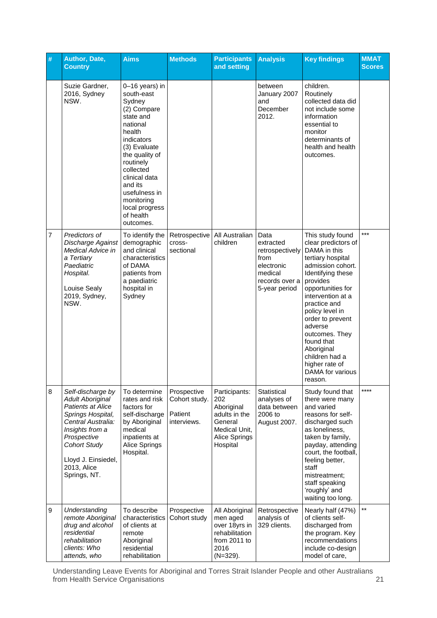| # | Author, Date,<br><b>Country</b>                                                                                                                                                                                             | <b>Aims</b>                                                                                                                                                                                                                                                               | <b>Methods</b>                                         | <b>Participants</b><br>and setting                                                                           | <b>Analysis</b>                                                                                          | <b>Key findings</b>                                                                                                                                                                                                                                                                                                                                             | <b>MMAT</b><br><b>Scores</b> |
|---|-----------------------------------------------------------------------------------------------------------------------------------------------------------------------------------------------------------------------------|---------------------------------------------------------------------------------------------------------------------------------------------------------------------------------------------------------------------------------------------------------------------------|--------------------------------------------------------|--------------------------------------------------------------------------------------------------------------|----------------------------------------------------------------------------------------------------------|-----------------------------------------------------------------------------------------------------------------------------------------------------------------------------------------------------------------------------------------------------------------------------------------------------------------------------------------------------------------|------------------------------|
|   | Suzie Gardner,<br>2016, Sydney<br>NSW.                                                                                                                                                                                      | 0-16 years) in<br>south-east<br>Sydney<br>(2) Compare<br>state and<br>national<br>health<br>indicators<br>(3) Evaluate<br>the quality of<br>routinely<br>collected<br>clinical data<br>and its<br>usefulness in<br>monitoring<br>local progress<br>of health<br>outcomes. |                                                        |                                                                                                              | between<br>January 2007<br>and<br>December<br>2012.                                                      | children.<br>Routinely<br>collected data did<br>not include some<br>information<br>essential to<br>monitor<br>determinants of<br>health and health<br>outcomes.                                                                                                                                                                                                 |                              |
| 7 | Predictors of<br>Discharge Against<br>Medical Advice in<br>a Tertiary<br>Paediatric<br>Hospital.<br>Louise Sealy<br>2019, Sydney,<br>NSW.                                                                                   | To identify the<br>demographic<br>and clinical<br>characteristics<br>of DAMA<br>patients from<br>a paediatric<br>hospital in<br>Sydney                                                                                                                                    | Retrospective<br>cross-<br>sectional                   | All Australian<br>children                                                                                   | Data<br>extracted<br>retrospectively<br>from<br>electronic<br>medical<br>records over a<br>5-year period | This study found<br>clear predictors of<br>DAMA in this<br>tertiary hospital<br>admission cohort.<br>Identifying these<br>provides<br>opportunities for<br>intervention at a<br>practice and<br>policy level in<br>order to prevent<br>adverse<br>outcomes. They<br>found that<br>Aboriginal<br>children had a<br>higher rate of<br>DAMA for various<br>reason. | ***                          |
| 8 | Self-discharge by<br><b>Adult Aboriginal</b><br>Patients at Alice<br>Springs Hospital,<br>Central Australia:<br>Insights from a<br>Prospective<br><b>Cohort Study</b><br>Lloyd J. Einsiedel,<br>2013, Alice<br>Springs, NT. | To determine<br>rates and risk<br>factors for<br>self-discharge<br>by Aboriginal<br>medical<br>inpatients at<br>Alice Springs<br>Hospital.                                                                                                                                | Prospective<br>Cohort study.<br>Patient<br>interviews. | Participants:<br>202<br>Aboriginal<br>adults in the<br>General<br>Medical Unit,<br>Alice Springs<br>Hospital | Statistical<br>analyses of<br>data between<br>2006 to<br>August 2007.                                    | Study found that<br>there were many<br>and varied<br>reasons for self-<br>discharged such<br>as loneliness,<br>taken by family,<br>payday, attending<br>court, the football,<br>feeling better,<br>staff<br>mistreatment;<br>staff speaking<br>'roughly' and<br>waiting too long.                                                                               | ****                         |
| 9 | Understanding<br>remote Aboriginal<br>drug and alcohol<br>residential<br>rehabilitation<br>clients: Who<br>attends, who                                                                                                     | To describe<br>characteristics<br>of clients at<br>remote<br>Aboriginal<br>residential<br>rehabilitation                                                                                                                                                                  | Prospective<br>Cohort study                            | All Aboriginal<br>men aged<br>over 18yrs in<br>rehabilitation<br>from 2011 to<br>2016<br>$(N=329)$ .         | Retrospective<br>analysis of<br>329 clients.                                                             | Nearly half (47%)<br>of clients self-<br>discharged from<br>the program. Key<br>recommendations<br>include co-design<br>model of care,                                                                                                                                                                                                                          | **                           |

Understanding Leave Events for Aboriginal and Torres Strait Islander People and other Australians from Health Service Organisations 21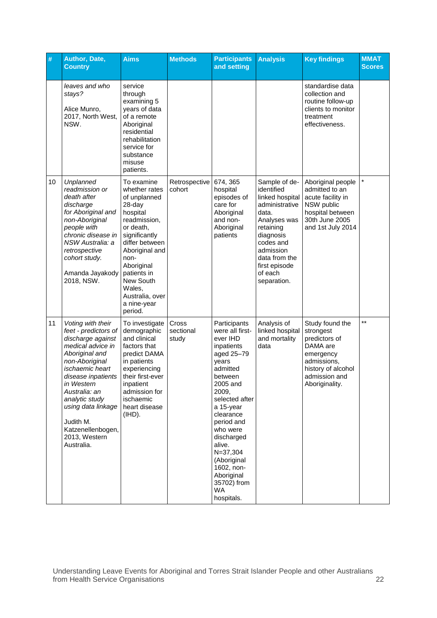| #  | Author, Date,<br><b>Country</b>                                                                                                                                                                                                                                                                          | <b>Aims</b>                                                                                                                                                                                                                                                  | <b>Methods</b>              | <b>Participants</b><br>and setting                                                                                                                                                                                                                                                                                       | <b>Analysis</b>                                                                                                                                                                                           | <b>Key findings</b>                                                                                                                            | <b>MMAT</b><br><b>Scores</b> |
|----|----------------------------------------------------------------------------------------------------------------------------------------------------------------------------------------------------------------------------------------------------------------------------------------------------------|--------------------------------------------------------------------------------------------------------------------------------------------------------------------------------------------------------------------------------------------------------------|-----------------------------|--------------------------------------------------------------------------------------------------------------------------------------------------------------------------------------------------------------------------------------------------------------------------------------------------------------------------|-----------------------------------------------------------------------------------------------------------------------------------------------------------------------------------------------------------|------------------------------------------------------------------------------------------------------------------------------------------------|------------------------------|
|    | leaves and who<br>stays?<br>Alice Munro,<br>2017, North West,<br>NSW.                                                                                                                                                                                                                                    | service<br>through<br>examining 5<br>years of data<br>of a remote<br>Aboriginal<br>residential<br>rehabilitation<br>service for<br>substance<br>misuse<br>patients.                                                                                          |                             |                                                                                                                                                                                                                                                                                                                          |                                                                                                                                                                                                           | standardise data<br>collection and<br>routine follow-up<br>clients to monitor<br>treatment<br>effectiveness.                                   |                              |
| 10 | Unplanned<br>readmission or<br>death after<br>discharge<br>for Aboriginal and<br>non-Aboriginal<br>people with<br>chronic disease in<br>NSW Australia: a<br>retrospective<br>cohort study.<br>Amanda Jayakody<br>2018, NSW.                                                                              | To examine<br>whether rates<br>of unplanned<br>28-day<br>hospital<br>readmission,<br>or death,<br>significantly<br>differ between<br>Aboriginal and<br>non-<br>Aboriginal<br>patients in<br>New South<br>Wales,<br>Australia, over<br>a nine-year<br>period. | Retrospective<br>cohort     | 674, 365<br>hospital<br>episodes of<br>care for<br>Aboriginal<br>and non-<br>Aboriginal<br>patients                                                                                                                                                                                                                      | Sample of de-<br>identified<br>linked hospital<br>administrative<br>data.<br>Analyses was<br>retaining<br>diagnosis<br>codes and<br>admission<br>data from the<br>first episode<br>of each<br>separation. | Aboriginal people<br>admitted to an<br>acute facility in<br>NSW public<br>hospital between<br>30th June 2005<br>and 1st July 2014              |                              |
| 11 | Voting with their<br>feet - predictors of<br>discharge against<br>medical advice in<br>Aboriginal and<br>non-Aboriginal<br>ischaemic heart<br>disease inpatients<br>in Western<br>Australia: an<br>analytic study<br>using data linkage<br>Judith M.<br>Katzenellenbogen,<br>2013, Western<br>Australia. | To investigate<br>demographic<br>and clinical<br>factors that<br>predict DAMA<br>in patients<br>experiencing<br>their first-ever<br>inpatient<br>admission for<br>ischaemic<br>heart disease<br>(IHD).                                                       | Cross<br>sectional<br>study | Participants<br>were all first-<br>ever IHD<br>inpatients<br>aged 25-79<br>years<br>admitted<br>between<br>2005 and<br>2009,<br>selected after<br>a 15-year<br>clearance<br>period and<br>who were<br>discharged<br>alive.<br>$N = 37,304$<br>(Aboriginal<br>1602, non-<br>Aboriginal<br>35702) from<br>WA<br>hospitals. | Analysis of<br>linked hospital<br>and mortality<br>data                                                                                                                                                   | Study found the<br>strongest<br>predictors of<br>DAMA are<br>emergency<br>admissions,<br>history of alcohol<br>admission and<br>Aboriginality. | $***$                        |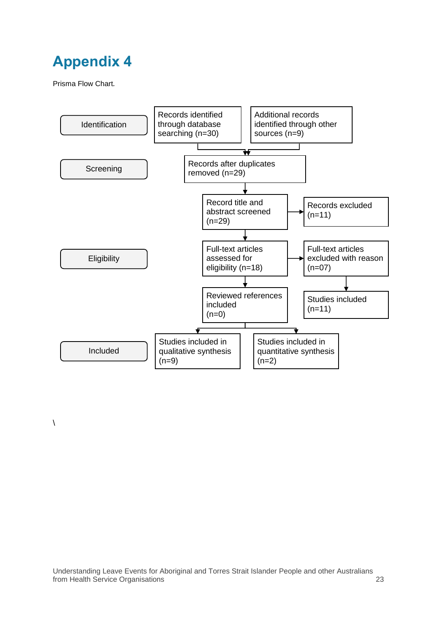<span id="page-27-0"></span>Prisma Flow Chart*.*

 $\lambda$ 

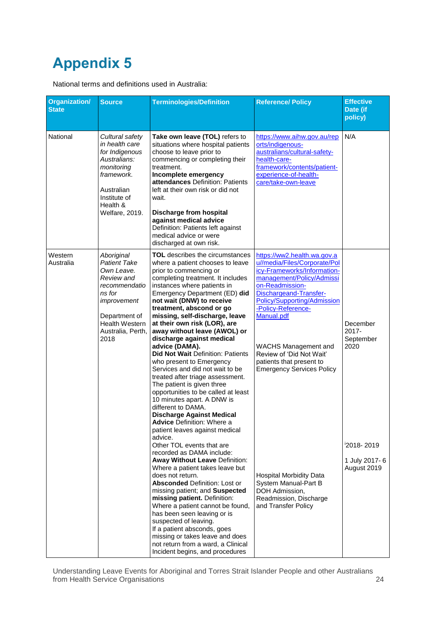<span id="page-28-0"></span>National terms and definitions used in Australia:

| <b>Organization/</b><br><b>State</b> | <b>Source</b>                                                                                                                                                                  | <b>Terminologies/Definition</b>                                                                                                                                                                                                                                                                                                                                                                                                                                                                                                                                                                                                                                                                                                                                                                            | <b>Reference/ Policy</b>                                                                                                                                                                                                                                                                                                                                                  | <b>Effective</b><br>Date (if<br>policy)   |
|--------------------------------------|--------------------------------------------------------------------------------------------------------------------------------------------------------------------------------|------------------------------------------------------------------------------------------------------------------------------------------------------------------------------------------------------------------------------------------------------------------------------------------------------------------------------------------------------------------------------------------------------------------------------------------------------------------------------------------------------------------------------------------------------------------------------------------------------------------------------------------------------------------------------------------------------------------------------------------------------------------------------------------------------------|---------------------------------------------------------------------------------------------------------------------------------------------------------------------------------------------------------------------------------------------------------------------------------------------------------------------------------------------------------------------------|-------------------------------------------|
| National                             | Cultural safety<br>in health care<br>for Indigenous<br>Australians:<br>monitoring<br>framework.<br>Australian<br>Institute of<br>Health &<br>Welfare, 2019.                    | Take own leave (TOL) refers to<br>situations where hospital patients<br>choose to leave prior to<br>commencing or completing their<br>treatment.<br>Incomplete emergency<br>attendances Definition: Patients<br>left at their own risk or did not<br>wait.<br>Discharge from hospital<br>against medical advice<br>Definition: Patients left against<br>medical advice or were<br>discharged at own risk.                                                                                                                                                                                                                                                                                                                                                                                                  | https://www.aihw.gov.au/rep<br>orts/indigenous-<br>australians/cultural-safety-<br>health-care-<br>framework/contents/patient-<br>experience-of-health-<br>care/take-own-leave                                                                                                                                                                                            | N/A                                       |
| Western<br>Australia                 | Aboriginal<br><b>Patient Take</b><br>Own Leave.<br>Review and<br>recommendatio<br>ns for<br>improvement<br>Department of<br><b>Health Western</b><br>Australia, Perth,<br>2018 | <b>TOL</b> describes the circumstances<br>where a patient chooses to leave<br>prior to commencing or<br>completing treatment. It includes<br>instances where patients in<br>Emergency Department (ED) did<br>not wait (DNW) to receive<br>treatment, abscond or go<br>missing, self-discharge, leave<br>at their own risk (LOR), are<br>away without leave (AWOL) or<br>discharge against medical<br>advice (DAMA).<br>Did Not Wait Definition: Patients<br>who present to Emergency<br>Services and did not wait to be<br>treated after triage assessment.<br>The patient is given three<br>opportunities to be called at least<br>10 minutes apart. A DNW is<br>different to DAMA.<br><b>Discharge Against Medical</b><br><b>Advice</b> Definition: Where a<br>patient leaves against medical<br>advice. | https://ww2.health.wa.gov.a<br>u//media/Files/Corporate/Pol<br>icy-Frameworks/Information-<br>management/Policy/Admissi<br>on-Readmission-<br>Dischargeand-Transfer-<br><b>Policy/Supporting/Admission</b><br>-Policy-Reference-<br>Manual.pdf<br><b>WACHS Management and</b><br>Review of 'Did Not Wait'<br>patients that present to<br><b>Emergency Services Policy</b> | December<br>2017-<br>September<br>2020    |
|                                      |                                                                                                                                                                                | Other TOL events that are<br>recorded as DAMA include:<br><b>Away Without Leave Definition:</b><br>Where a patient takes leave but<br>does not return.<br><b>Absconded Definition: Lost or</b><br>missing patient; and Suspected<br>missing patient. Definition:<br>Where a patient cannot be found,<br>has been seen leaving or is<br>suspected of leaving.<br>If a patient absconds, goes<br>missing or takes leave and does<br>not return from a ward, a Clinical<br>Incident begins, and procedures                                                                                                                                                                                                                                                                                                    | <b>Hospital Morbidity Data</b><br>System Manual-Part B<br>DOH Admission,<br>Readmission, Discharge<br>and Transfer Policy                                                                                                                                                                                                                                                 | 2018-2019<br>1 July 2017-6<br>August 2019 |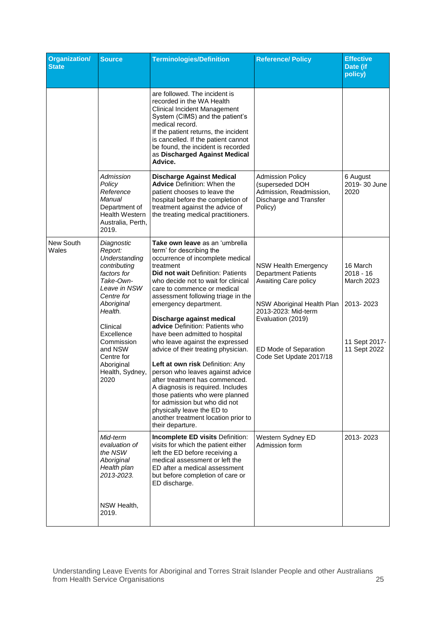| <b>Organization/</b><br><b>State</b> | <b>Source</b>                                                                                                                                                                                                                                       | <b>Terminologies/Definition</b>                                                                                                                                                                                                                                                                                                                                                                                                                                                                                                                                                                                                                                                                                                                                               | <b>Reference/ Policy</b>                                                                                                                                                                                        | <b>Effective</b><br>Date (if<br>policy)                                                    |
|--------------------------------------|-----------------------------------------------------------------------------------------------------------------------------------------------------------------------------------------------------------------------------------------------------|-------------------------------------------------------------------------------------------------------------------------------------------------------------------------------------------------------------------------------------------------------------------------------------------------------------------------------------------------------------------------------------------------------------------------------------------------------------------------------------------------------------------------------------------------------------------------------------------------------------------------------------------------------------------------------------------------------------------------------------------------------------------------------|-----------------------------------------------------------------------------------------------------------------------------------------------------------------------------------------------------------------|--------------------------------------------------------------------------------------------|
|                                      |                                                                                                                                                                                                                                                     | are followed. The incident is<br>recorded in the WA Health<br>Clinical Incident Management<br>System (CIMS) and the patient's<br>medical record.<br>If the patient returns, the incident<br>is cancelled. If the patient cannot<br>be found, the incident is recorded<br>as Discharged Against Medical<br>Advice.                                                                                                                                                                                                                                                                                                                                                                                                                                                             |                                                                                                                                                                                                                 |                                                                                            |
|                                      | Admission<br>Policy<br>Reference<br>Manual<br>Department of<br><b>Health Western</b><br>Australia, Perth,<br>2019.                                                                                                                                  | <b>Discharge Against Medical</b><br><b>Advice Definition: When the</b><br>patient chooses to leave the<br>hospital before the completion of<br>treatment against the advice of<br>the treating medical practitioners.                                                                                                                                                                                                                                                                                                                                                                                                                                                                                                                                                         | <b>Admission Policy</b><br>(superseded DOH<br>Admission, Readmission,<br>Discharge and Transfer<br>Policy)                                                                                                      | 6 August<br>2019-30 June<br>2020                                                           |
| New South<br>Wales                   | Diagnostic<br>Report:<br>Understanding<br>contributing<br>factors for<br>Take-Own-<br>Leave in NSW<br>Centre for<br>Aboriginal<br>Health.<br>Clinical<br>Excellence<br>Commission<br>and NSW<br>Centre for<br>Aboriginal<br>Health, Sydney,<br>2020 | Take own leave as an 'umbrella<br>term' for describing the<br>occurrence of incomplete medical<br>treatment<br>Did not wait Definition: Patients<br>who decide not to wait for clinical<br>care to commence or medical<br>assessment following triage in the<br>emergency department.<br>Discharge against medical<br>advice Definition: Patients who<br>have been admitted to hospital<br>who leave against the expressed<br>advice of their treating physician.<br>Left at own risk Definition: Any<br>person who leaves against advice<br>after treatment has commenced.<br>A diagnosis is required. Includes<br>those patients who were planned<br>for admission but who did not<br>physically leave the ED to<br>another treatment location prior to<br>their departure. | <b>NSW Health Emergency</b><br><b>Department Patients</b><br>Awaiting Care policy<br>NSW Aboriginal Health Plan<br>2013-2023: Mid-term<br>Evaluation (2019)<br>ED Mode of Separation<br>Code Set Update 2017/18 | 16 March<br>$2018 - 16$<br><b>March 2023</b><br>2013-2023<br>11 Sept 2017-<br>11 Sept 2022 |
|                                      | Mid-term<br>evaluation of<br>the NSW<br>Aboriginal<br>Health plan<br>2013-2023.                                                                                                                                                                     | Incomplete ED visits Definition:<br>visits for which the patient either<br>left the ED before receiving a<br>medical assessment or left the<br>ED after a medical assessment<br>but before completion of care or<br>ED discharge.                                                                                                                                                                                                                                                                                                                                                                                                                                                                                                                                             | Western Sydney ED<br>Admission form                                                                                                                                                                             | 2013-2023                                                                                  |
|                                      | NSW Health,<br>2019.                                                                                                                                                                                                                                |                                                                                                                                                                                                                                                                                                                                                                                                                                                                                                                                                                                                                                                                                                                                                                               |                                                                                                                                                                                                                 |                                                                                            |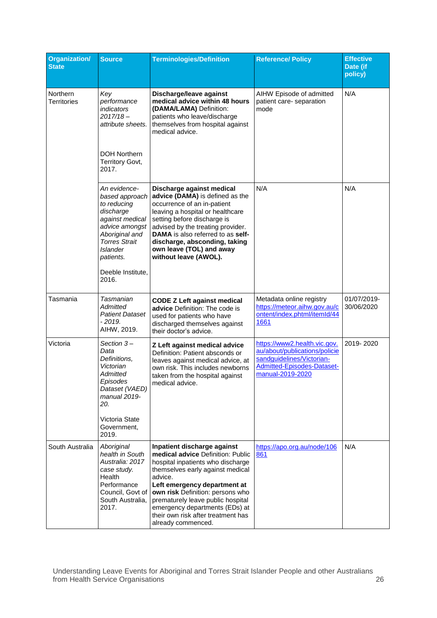| <b>Organization/</b><br><b>State</b> | <b>Source</b>                                                                                                                                                                                           | <b>Terminologies/Definition</b>                                                                                                                                                                                                                                                                                                                             | <b>Reference/ Policy</b>                                                                                                                            | <b>Effective</b><br>Date (if<br>policy) |
|--------------------------------------|---------------------------------------------------------------------------------------------------------------------------------------------------------------------------------------------------------|-------------------------------------------------------------------------------------------------------------------------------------------------------------------------------------------------------------------------------------------------------------------------------------------------------------------------------------------------------------|-----------------------------------------------------------------------------------------------------------------------------------------------------|-----------------------------------------|
| Northern<br>Territories              | Key<br>performance<br>indicators<br>$2017/18 -$<br>attribute sheets.<br><b>DOH Northern</b><br>Territory Govt,<br>2017.                                                                                 | Discharge/leave against<br>medical advice within 48 hours<br>(DAMA/LAMA) Definition:<br>patients who leave/discharge<br>themselves from hospital against<br>medical advice.                                                                                                                                                                                 | AIHW Episode of admitted<br>patient care- separation<br>mode                                                                                        | N/A                                     |
|                                      | An evidence-<br>based approach<br>to reducing<br>discharge<br>against medical<br>advice amongst<br>Aboriginal and<br><b>Torres Strait</b><br><b>Islander</b><br>patients.<br>Deeble Institute,<br>2016. | Discharge against medical<br>advice (DAMA) is defined as the<br>occurrence of an in-patient<br>leaving a hospital or healthcare<br>setting before discharge is<br>advised by the treating provider.<br>DAMA is also referred to as self-<br>discharge, absconding, taking<br>own leave (TOL) and away<br>without leave (AWOL).                              | N/A                                                                                                                                                 | N/A                                     |
| Tasmania                             | Tasmanian<br>Admitted<br><b>Patient Dataset</b><br>- 2019.<br>AIHW, 2019.                                                                                                                               | <b>CODE Z Left against medical</b><br>advice Definition: The code is<br>used for patients who have<br>discharged themselves against<br>their doctor's advice.                                                                                                                                                                                               | Metadata online registry<br>https://meteor.aihw.gov.au/c<br>ontent/index.phtml/itemId/44<br>1661                                                    | 01/07/2019-<br>30/06/2020               |
| Victoria                             | Section 3-<br>Data<br>Definitions,<br>Victorian<br>Admitted<br>Episodes<br>Dataset (VAED)<br>manual 2019-<br>20.<br>Victoria State<br>Government,<br>2019.                                              | Z Left against medical advice<br>Definition: Patient absconds or<br>leaves against medical advice, at<br>own risk. This includes newborns<br>taken from the hospital against<br>medical advice.                                                                                                                                                             | https://www2.health.vic.gov.<br>au/about/publications/policie<br>sandguidelines/Victorian-<br><b>Admitted-Episodes-Dataset-</b><br>manual-2019-2020 | 2019-2020                               |
| South Australia                      | Aboriginal<br>health in South<br>Australia: 2017<br>case study.<br>Health<br>Performance<br>Council, Govt of<br>South Australia,<br>2017.                                                               | Inpatient discharge against<br>medical advice Definition: Public<br>hospital inpatients who discharge<br>themselves early against medical<br>advice.<br>Left emergency department at<br>own risk Definition: persons who<br>prematurely leave public hospital<br>emergency departments (EDs) at<br>their own risk after treatment has<br>already commenced. | https://apo.org.au/node/106<br>861                                                                                                                  | N/A                                     |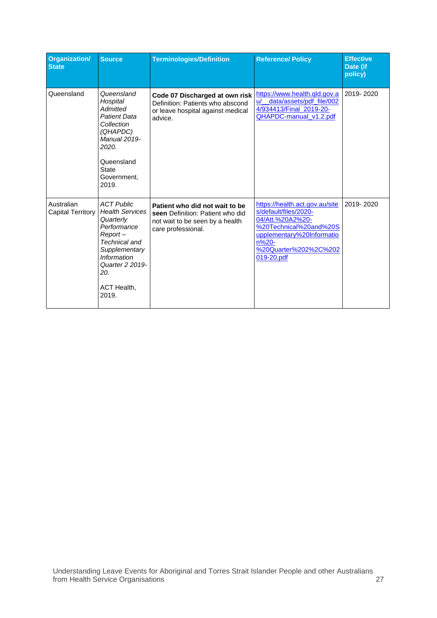| <b>Organization/</b><br><b>State</b> | <b>Source</b>                                                                                                                                                                                   | <b>Terminologies/Definition</b>                                                                                             | <b>Reference/ Policy</b>                                                                                                                                                           | <b>Effective</b><br>Date (if<br>policy) |
|--------------------------------------|-------------------------------------------------------------------------------------------------------------------------------------------------------------------------------------------------|-----------------------------------------------------------------------------------------------------------------------------|------------------------------------------------------------------------------------------------------------------------------------------------------------------------------------|-----------------------------------------|
| Queensland                           | Queensland<br>Hospital<br>Admitted<br><b>Patient Data</b><br>Collection<br>(QHAPDC)<br>Manual 2019-<br>2020.<br>Queensland<br><b>State</b><br>Government.<br>2019.                              | Code 07 Discharged at own risk<br>Definition: Patients who abscond<br>or leave hospital against medical<br>advice.          | https://www.health.gld.gov.a<br>data/assets/pdf_file/002<br>u/<br>4/934413/Final 2019-20-<br>QHAPDC-manual_v1.2.pdf                                                                | 2019-2020                               |
| Australian<br>Capital Territory      | <b>ACT Public</b><br><b>Health Services</b><br>Quarterly<br>Performance<br>$Report -$<br>Technical and<br>Supplementary<br><b>Information</b><br>Quarter 2 2019-<br>20.<br>ACT Health,<br>2019. | Patient who did not wait to be<br>seen Definition: Patient who did<br>not wait to be seen by a health<br>care professional. | https://health.act.gov.au/site<br>s/default/files/2020-<br>04/Att.%20A2%20-<br>%20Technical%20and%20S<br>upplementary%20Informatio<br>n%20-<br>%20Quarter%202%2C%202<br>019-20.pdf | 2019-2020                               |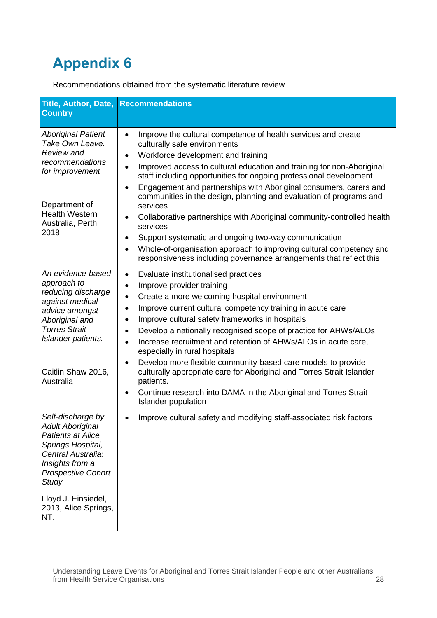<span id="page-32-0"></span>Recommendations obtained from the systematic literature review

| Title, Author, Date,<br><b>Country</b>                                                                                                                                                                                      | <b>Recommendations</b>                                                                                                                                                                                                                                                                                                                                                                                                                                                                                                                                                                                                                                                                                                                                                                                                          |
|-----------------------------------------------------------------------------------------------------------------------------------------------------------------------------------------------------------------------------|---------------------------------------------------------------------------------------------------------------------------------------------------------------------------------------------------------------------------------------------------------------------------------------------------------------------------------------------------------------------------------------------------------------------------------------------------------------------------------------------------------------------------------------------------------------------------------------------------------------------------------------------------------------------------------------------------------------------------------------------------------------------------------------------------------------------------------|
| <b>Aboriginal Patient</b><br>Take Own Leave.<br><b>Review and</b><br>recommendations<br>for improvement<br>Department of<br><b>Health Western</b><br>Australia, Perth<br>2018                                               | Improve the cultural competence of health services and create<br>$\bullet$<br>culturally safe environments<br>Workforce development and training<br>$\bullet$<br>Improved access to cultural education and training for non-Aboriginal<br>$\bullet$<br>staff including opportunities for ongoing professional development<br>Engagement and partnerships with Aboriginal consumers, carers and<br>$\bullet$<br>communities in the design, planning and evaluation of programs and<br>services<br>Collaborative partnerships with Aboriginal community-controlled health<br>$\bullet$<br>services<br>Support systematic and ongoing two-way communication<br>$\bullet$<br>Whole-of-organisation approach to improving cultural competency and<br>$\bullet$<br>responsiveness including governance arrangements that reflect this |
| An evidence-based<br>approach to<br>reducing discharge<br>against medical<br>advice amongst<br>Aboriginal and<br><b>Torres Strait</b><br>Islander patients.<br>Caitlin Shaw 2016,<br>Australia                              | Evaluate institutionalised practices<br>$\bullet$<br>Improve provider training<br>$\bullet$<br>Create a more welcoming hospital environment<br>$\bullet$<br>Improve current cultural competency training in acute care<br>Improve cultural safety frameworks in hospitals<br>$\bullet$<br>Develop a nationally recognised scope of practice for AHWs/ALOs<br>$\bullet$<br>Increase recruitment and retention of AHWs/ALOs in acute care,<br>$\bullet$<br>especially in rural hospitals<br>Develop more flexible community-based care models to provide<br>$\bullet$<br>culturally appropriate care for Aboriginal and Torres Strait Islander<br>patients.<br>Continue research into DAMA in the Aboriginal and Torres Strait<br>$\bullet$<br><b>Islander population</b>                                                         |
| Self-discharge by<br><b>Adult Aboriginal</b><br><b>Patients at Alice</b><br>Springs Hospital,<br>Central Australia:<br>Insights from a<br>Prospective Cohort<br>Study<br>Lloyd J. Einsiedel,<br>2013, Alice Springs,<br>NT. | Improve cultural safety and modifying staff-associated risk factors<br>$\bullet$                                                                                                                                                                                                                                                                                                                                                                                                                                                                                                                                                                                                                                                                                                                                                |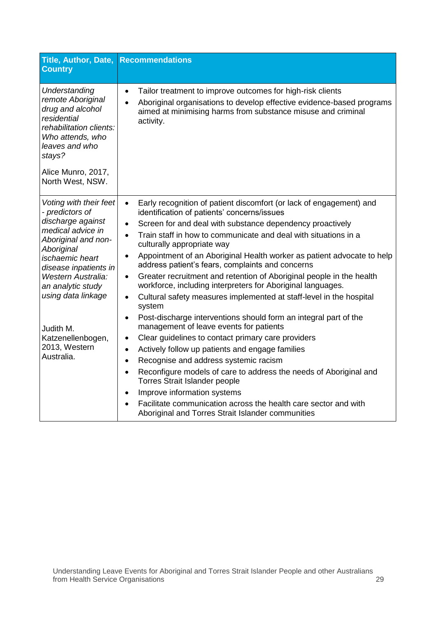| Title, Author, Date,<br><b>Country</b>                                                                                                                                                                                                                                                                               | <b>Recommendations</b>                                                                                                                                                                                                                                                                                                                                                                                                                                                                                                                                                                                                                                                                                                                                                                                                                                                                                                                                                                                                                                                                                                                                                                                                                                                                                                           |
|----------------------------------------------------------------------------------------------------------------------------------------------------------------------------------------------------------------------------------------------------------------------------------------------------------------------|----------------------------------------------------------------------------------------------------------------------------------------------------------------------------------------------------------------------------------------------------------------------------------------------------------------------------------------------------------------------------------------------------------------------------------------------------------------------------------------------------------------------------------------------------------------------------------------------------------------------------------------------------------------------------------------------------------------------------------------------------------------------------------------------------------------------------------------------------------------------------------------------------------------------------------------------------------------------------------------------------------------------------------------------------------------------------------------------------------------------------------------------------------------------------------------------------------------------------------------------------------------------------------------------------------------------------------|
| Understanding<br>remote Aboriginal<br>drug and alcohol<br>residential<br>rehabilitation clients:<br>Who attends, who<br>leaves and who<br>stays?<br>Alice Munro, 2017,<br>North West, NSW.                                                                                                                           | Tailor treatment to improve outcomes for high-risk clients<br>$\bullet$<br>Aboriginal organisations to develop effective evidence-based programs<br>$\bullet$<br>aimed at minimising harms from substance misuse and criminal<br>activity.                                                                                                                                                                                                                                                                                                                                                                                                                                                                                                                                                                                                                                                                                                                                                                                                                                                                                                                                                                                                                                                                                       |
| Voting with their feet<br>- predictors of<br>discharge against<br>medical advice in<br>Aboriginal and non-<br>Aboriginal<br><i>ischaemic</i> heart<br>disease inpatients in<br><b>Western Australia:</b><br>an analytic study<br>using data linkage<br>Judith M.<br>Katzenellenbogen,<br>2013, Western<br>Australia. | Early recognition of patient discomfort (or lack of engagement) and<br>$\bullet$<br>identification of patients' concerns/issues<br>Screen for and deal with substance dependency proactively<br>$\bullet$<br>Train staff in how to communicate and deal with situations in a<br>$\bullet$<br>culturally appropriate way<br>Appointment of an Aboriginal Health worker as patient advocate to help<br>$\bullet$<br>address patient's fears, complaints and concerns<br>Greater recruitment and retention of Aboriginal people in the health<br>$\bullet$<br>workforce, including interpreters for Aboriginal languages.<br>Cultural safety measures implemented at staff-level in the hospital<br>$\bullet$<br>system<br>Post-discharge interventions should form an integral part of the<br>$\bullet$<br>management of leave events for patients<br>Clear guidelines to contact primary care providers<br>$\bullet$<br>Actively follow up patients and engage families<br>$\bullet$<br>Recognise and address systemic racism<br>$\bullet$<br>Reconfigure models of care to address the needs of Aboriginal and<br>$\bullet$<br>Torres Strait Islander people<br>Improve information systems<br>$\bullet$<br>Facilitate communication across the health care sector and with<br>Aboriginal and Torres Strait Islander communities |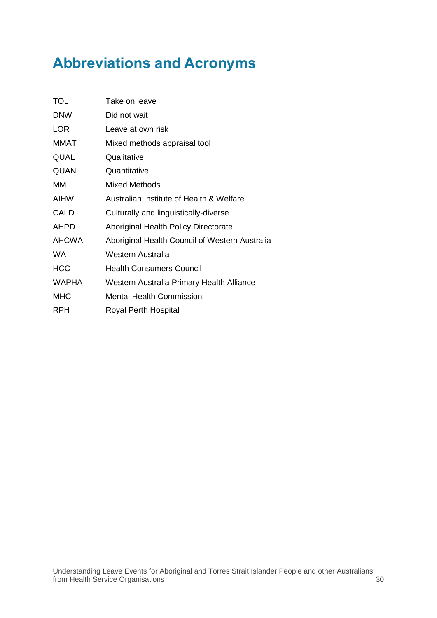## <span id="page-34-0"></span>**Abbreviations and Acronyms**

| <b>TOL</b>   | Take on leave                                  |
|--------------|------------------------------------------------|
| <b>DNW</b>   | Did not wait                                   |
| <b>LOR</b>   | Leave at own risk                              |
| MMAT         | Mixed methods appraisal tool                   |
| QUAL         | Qualitative                                    |
| QUAN         | Quantitative                                   |
| МM           | Mixed Methods                                  |
| AIHW         | Australian Institute of Health & Welfare       |
| CALD         | Culturally and linguistically-diverse          |
| AHPD         | Aboriginal Health Policy Directorate           |
| <b>AHCWA</b> | Aboriginal Health Council of Western Australia |
| WA.          | Western Australia                              |
| <b>HCC</b>   | <b>Health Consumers Council</b>                |
| <b>WAPHA</b> | Western Australia Primary Health Alliance      |
| <b>MHC</b>   | Mental Health Commission                       |
| <b>RPH</b>   | Royal Perth Hospital                           |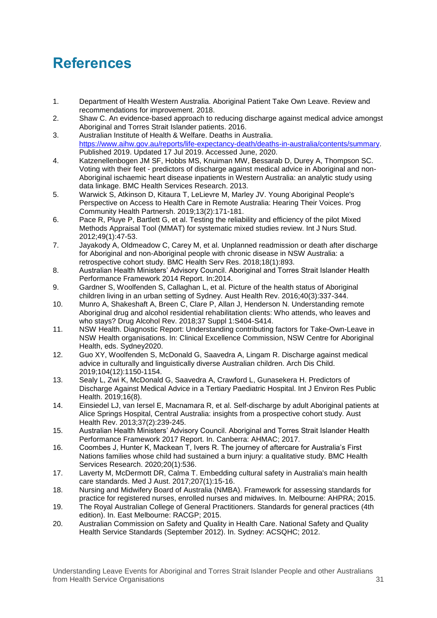## <span id="page-35-0"></span>**References**

- <span id="page-35-1"></span>1. Department of Health Western Australia. Aboriginal Patient Take Own Leave. Review and recommendations for improvement. 2018.
- <span id="page-35-2"></span>2. Shaw C. An evidence-based approach to reducing discharge against medical advice amongst Aboriginal and Torres Strait Islander patients. 2016.
- <span id="page-35-3"></span>3. Australian Institute of Health & Welfare. Deaths in Australia. [https://www.aihw.gov.au/reports/life-expectancy-death/deaths-in-australia/contents/summary.](https://www.aihw.gov.au/reports/life-expectancy-death/deaths-in-australia/contents/summary) Published 2019. Updated 17 Jul 2019. Accessed June, 2020.
- <span id="page-35-4"></span>4. Katzenellenbogen JM SF, Hobbs MS, Knuiman MW, Bessarab D, Durey A, Thompson SC. Voting with their feet - predictors of discharge against medical advice in Aboriginal and non-Aboriginal ischaemic heart disease inpatients in Western Australia: an analytic study using data linkage. BMC Health Services Research. 2013.
- <span id="page-35-5"></span>5. Warwick S, Atkinson D, Kitaura T, LeLievre M, Marley JV. Young Aboriginal People's Perspective on Access to Health Care in Remote Australia: Hearing Their Voices. Prog Community Health Partnersh. 2019;13(2):171-181.
- <span id="page-35-6"></span>6. Pace R, Pluye P, Bartlett G, et al. Testing the reliability and efficiency of the pilot Mixed Methods Appraisal Tool (MMAT) for systematic mixed studies review. Int J Nurs Stud. 2012;49(1):47-53.
- <span id="page-35-7"></span>7. Jayakody A, Oldmeadow C, Carey M, et al. Unplanned readmission or death after discharge for Aboriginal and non-Aboriginal people with chronic disease in NSW Australia: a retrospective cohort study. BMC Health Serv Res. 2018;18(1):893.
- <span id="page-35-8"></span>8. Australian Health Ministers' Advisory Council. Aboriginal and Torres Strait Islander Health Performance Framework 2014 Report. In:2014.
- <span id="page-35-13"></span>9. Gardner S, Woolfenden S, Callaghan L, et al. Picture of the health status of Aboriginal children living in an urban setting of Sydney. Aust Health Rev. 2016;40(3):337-344.
- <span id="page-35-14"></span>10. Munro A, Shakeshaft A, Breen C, Clare P, Allan J, Henderson N. Understanding remote Aboriginal drug and alcohol residential rehabilitation clients: Who attends, who leaves and who stays? Drug Alcohol Rev. 2018;37 Suppl 1:S404-S414.
- <span id="page-35-9"></span>11. NSW Health. Diagnostic Report: Understanding contributing factors for Take-Own-Leave in NSW Health organisations. In: Clinical Excellence Commission, NSW Centre for Aboriginal Health, eds. Sydney2020.
- <span id="page-35-11"></span>12. Guo XY, Woolfenden S, McDonald G, Saavedra A, Lingam R. Discharge against medical advice in culturally and linguistically diverse Australian children. Arch Dis Child. 2019;104(12):1150-1154.
- <span id="page-35-15"></span>13. Sealy L, Zwi K, McDonald G, Saavedra A, Crawford L, Gunasekera H. Predictors of Discharge Against Medical Advice in a Tertiary Paediatric Hospital. Int J Environ Res Public Health. 2019;16(8).
- <span id="page-35-10"></span>14. Einsiedel LJ, van Iersel E, Macnamara R, et al. Self-discharge by adult Aboriginal patients at Alice Springs Hospital, Central Australia: insights from a prospective cohort study. Aust Health Rev. 2013;37(2):239-245.
- <span id="page-35-12"></span>15. Australian Health Ministers' Advisory Council. Aboriginal and Torres Strait Islander Health Performance Framework 2017 Report. In. Canberra: AHMAC; 2017.
- <span id="page-35-16"></span>16. Coombes J, Hunter K, Mackean T, Ivers R. The journey of aftercare for Australia's First Nations families whose child had sustained a burn injury: a qualitative study. BMC Health Services Research. 2020;20(1):536.
- 17. Laverty M, McDermott DR, Calma T. Embedding cultural safety in Australia's main health care standards. Med J Aust. 2017;207(1):15-16.
- 18. Nursing and Midwifery Board of Australia (NMBA). Framework for assessing standards for practice for registered nurses, enrolled nurses and midwives. In. Melbourne: AHPRA; 2015.
- 19. The Royal Australian College of General Practitioners. Standards for general practices (4th edition). In. East Melbourne: RACGP; 2015.
- 20. Australian Commission on Safety and Quality in Health Care. National Safety and Quality Health Service Standards (September 2012). In. Sydney: ACSQHC; 2012.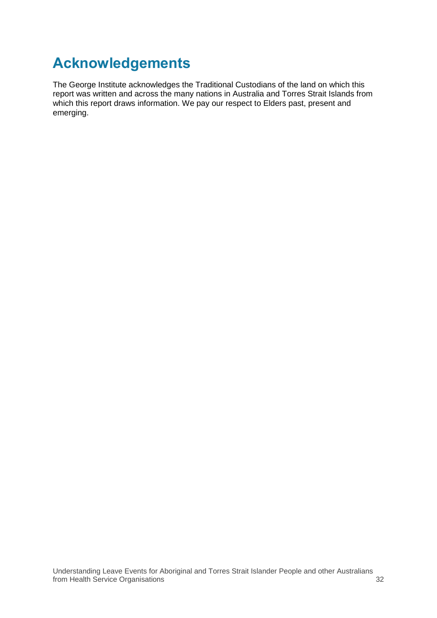## <span id="page-36-0"></span>**Acknowledgements**

The George Institute acknowledges the Traditional Custodians of the land on which this report was written and across the many nations in Australia and Torres Strait Islands from which this report draws information. We pay our respect to Elders past, present and emerging.